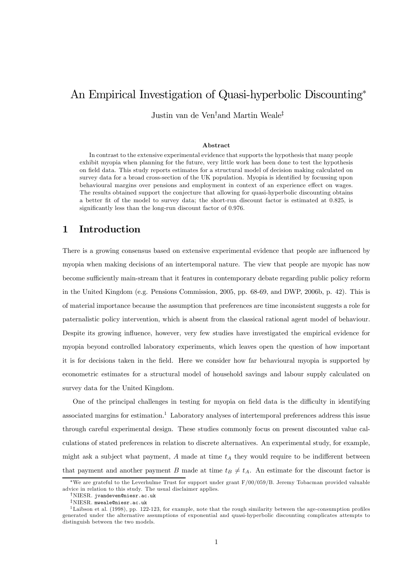# An Empirical Investigation of Quasi-hyperbolic Discounting<sup>∗</sup>

Justin van de Ven† and Martin Weale‡

#### Abstract

In contrast to the extensive experimental evidence that supports the hypothesis that many people exhibit myopia when planning for the future, very little work has been done to test the hypothesis on field data. This study reports estimates for a structural model of decision making calculated on survey data for a broad cross-section of the UK population. Myopia is identified by focussing upon behavioural margins over pensions and employment in context of an experience effect on wages. The results obtained support the conjecture that allowing for quasi-hyperbolic discounting obtains a better fit of the model to survey data; the short-run discount factor is estimated at 0.825, is significantly less than the long-run discount factor of 0.976.

## 1 Introduction

There is a growing consensus based on extensive experimental evidence that people are influenced by myopia when making decisions of an intertemporal nature. The view that people are myopic has now become sufficiently main-stream that it features in contemporary debate regarding public policy reform in the United Kingdom (e.g. Pensions Commission, 2005, pp. 68-69, and DWP, 2006b, p. 42). This is of material importance because the assumption that preferences are time inconsistent suggests a role for paternalistic policy intervention, which is absent from the classical rational agent model of behaviour. Despite its growing influence, however, very few studies have investigated the empirical evidence for myopia beyond controlled laboratory experiments, which leaves open the question of how important it is for decisions taken in the field. Here we consider how far behavioural myopia is supported by econometric estimates for a structural model of household savings and labour supply calculated on survey data for the United Kingdom.

One of the principal challenges in testing for myopia on field data is the difficulty in identifying associated margins for estimation.<sup>1</sup> Laboratory analyses of intertemporal preferences address this issue through careful experimental design. These studies commonly focus on present discounted value calculations of stated preferences in relation to discrete alternatives. An experimental study, for example, might ask a subject what payment,  $A$  made at time  $t_A$  they would require to be indifferent between that payment and another payment B made at time  $t_B \neq t_A$ . An estimate for the discount factor is

<sup>∗</sup>We are grateful to the Leverhulme Trust for support under grant F/00/059/B. Jeremy Tobacman provided valuable advice in relation to this study. The usual disclaimer applies.

<sup>†</sup>NIESR. jvandeven@niesr.ac.uk

 $1$ Laibson et al. (1998), pp. 122-123, for example, note that the rough similarity between the age-consumption profiles generated under the alternative assumptions of exponential and quasi-hyperbolic discounting complicates attempts to distinguish between the two models.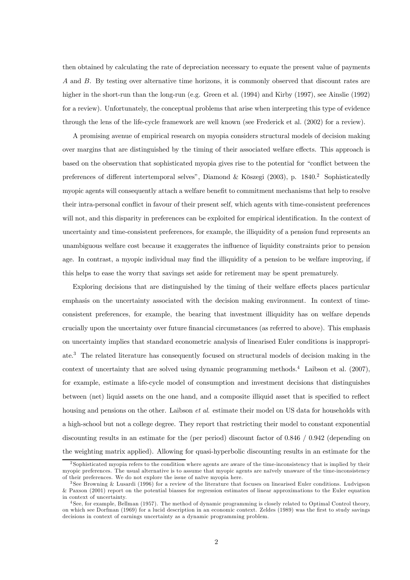then obtained by calculating the rate of depreciation necessary to equate the present value of payments A and B. By testing over alternative time horizons, it is commonly observed that discount rates are higher in the short-run than the long-run (e.g. Green et al. (1994) and Kirby (1997), see Ainslie (1992) for a review). Unfortunately, the conceptual problems that arise when interpreting this type of evidence through the lens of the life-cycle framework are well known (see Frederick et al. (2002) for a review).

A promising avenue of empirical research on myopia considers structural models of decision making over margins that are distinguished by the timing of their associated welfare effects. This approach is based on the observation that sophisticated myopia gives rise to the potential for "conflict between the preferences of different intertemporal selves", Diamond & Köszegi (2003), p. 1840.<sup>2</sup> Sophisticatedly myopic agents will consequently attach a welfare benefit to commitment mechanisms that help to resolve their intra-personal conflict in favour of their present self, which agents with time-consistent preferences will not, and this disparity in preferences can be exploited for empirical identification. In the context of uncertainty and time-consistent preferences, for example, the illiquidity of a pension fund represents an unambiguous welfare cost because it exaggerates the influence of liquidity constraints prior to pension age. In contrast, a myopic individual may find the illiquidity of a pension to be welfare improving, if this helps to ease the worry that savings set aside for retirement may be spent prematurely.

Exploring decisions that are distinguished by the timing of their welfare effects places particular emphasis on the uncertainty associated with the decision making environment. In context of timeconsistent preferences, for example, the bearing that investment illiquidity has on welfare depends crucially upon the uncertainty over future financial circumstances (as referred to above). This emphasis on uncertainty implies that standard econometric analysis of linearised Euler conditions is inappropriate.<sup>3</sup> The related literature has consequently focused on structural models of decision making in the context of uncertainty that are solved using dynamic programming methods.<sup>4</sup> Laibson et al. (2007), for example, estimate a life-cycle model of consumption and investment decisions that distinguishes between (net) liquid assets on the one hand, and a composite illiquid asset that is specified to reflect housing and pensions on the other. Laibson et al. estimate their model on US data for households with a high-school but not a college degree. They report that restricting their model to constant exponential discounting results in an estimate for the (per period) discount factor of 0.846 / 0.942 (depending on the weighting matrix applied). Allowing for quasi-hyperbolic discounting results in an estimate for the

<sup>2</sup> Sophisticated myopia refers to the condition where agents are aware of the time-inconsistency that is implied by their myopic preferences. The usual alternative is to assume that myopic agents are naïvely unaware of the time-inconsistency of their preferences. We do not explore the issue of naïve myopia here.

<sup>3</sup> See Browning & Lusardi (1996) for a review of the literature that focuses on linearised Euler conditions. Ludvigson & Paxson (2001) report on the potential biasses for regression estimates of linear approximations to the Euler equation in context of uncertainty.

<sup>4</sup> See, for example, Bellman (1957). The method of dynamic programming is closely related to Optimal Control theory, on which see Dorfman (1969) for a lucid description in an economic context. Zeldes (1989) was the first to study savings decisions in context of earnings uncertainty as a dynamic programming problem.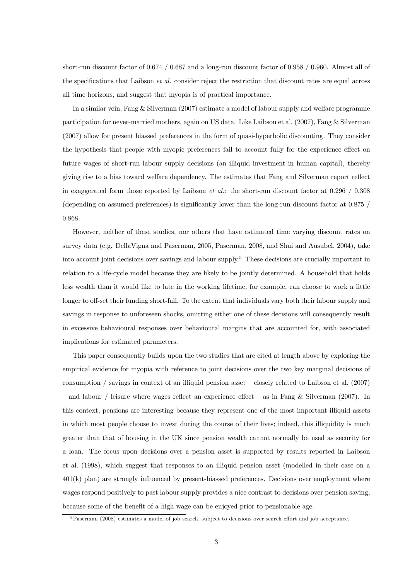short-run discount factor of 0.674 / 0.687 and a long-run discount factor of 0.958 / 0.960. Almost all of the specifications that Laibson *et al.* consider reject the restriction that discount rates are equal across all time horizons, and suggest that myopia is of practical importance.

In a similar vein, Fang & Silverman (2007) estimate a model of labour supply and welfare programme participation for never-married mothers, again on US data. Like Laibson et al. (2007), Fang & Silverman (2007) allow for present biassed preferences in the form of quasi-hyperbolic discounting. They consider the hypothesis that people with myopic preferences fail to account fully for the experience effect on future wages of short-run labour supply decisions (an illiquid investment in human capital), thereby giving rise to a bias toward welfare dependency. The estimates that Fang and Silverman report reflect in exaggerated form those reported by Laibson *et al.*: the short-run discount factor at  $0.296 / 0.308$ (depending on assumed preferences) is significantly lower than the long-run discount factor at 0.875 / 0.868.

However, neither of these studies, nor others that have estimated time varying discount rates on survey data (e.g. DellaVigna and Paserman, 2005, Paserman, 2008, and Shui and Ausubel, 2004), take into account joint decisions over savings and labour supply.<sup>5</sup> These decisions are crucially important in relation to a life-cycle model because they are likely to be jointly determined. A household that holds less wealth than it would like to late in the working lifetime, for example, can choose to work a little longer to off-set their funding short-fall. To the extent that individuals vary both their labour supply and savings in response to unforeseen shocks, omitting either one of these decisions will consequently result in excessive behavioural responses over behavioural margins that are accounted for, with associated implications for estimated parameters.

This paper consequently builds upon the two studies that are cited at length above by exploring the empirical evidence for myopia with reference to joint decisions over the two key marginal decisions of consumption / savings in context of an illiquid pension asset — closely related to Laibson et al. (2007)  $-$  and labour / leisure where wages reflect an experience effect  $-$  as in Fang & Silverman (2007). In this context, pensions are interesting because they represent one of the most important illiquid assets in which most people choose to invest during the course of their lives; indeed, this illiquidity is much greater than that of housing in the UK since pension wealth cannot normally be used as security for a loan. The focus upon decisions over a pension asset is supported by results reported in Laibson et al. (1998), which suggest that responses to an illiquid pension asset (modelled in their case on a 401(k) plan) are strongly influenced by present-biassed preferences. Decisions over employment where wages respond positively to past labour supply provides a nice contrast to decisions over pension saving, because some of the benefit of a high wage can be enjoyed prior to pensionable age.

<sup>5</sup>Paserman (2008) estimates a model of job search, sub ject to decisions over search effort and job acceptance.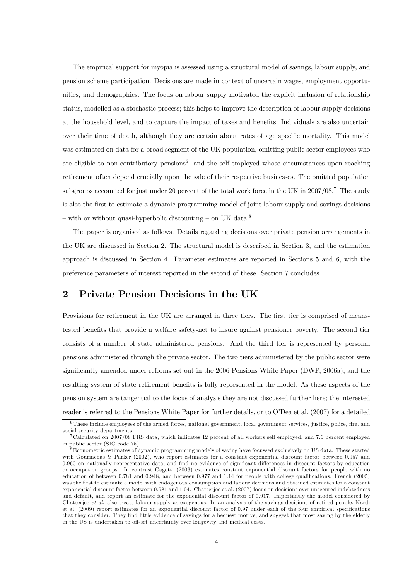The empirical support for myopia is assessed using a structural model of savings, labour supply, and pension scheme participation. Decisions are made in context of uncertain wages, employment opportunities, and demographics. The focus on labour supply motivated the explicit inclusion of relationship status, modelled as a stochastic process; this helps to improve the description of labour supply decisions at the household level, and to capture the impact of taxes and benefits. Individuals are also uncertain over their time of death, although they are certain about rates of age specific mortality. This model was estimated on data for a broad segment of the UK population, omitting public sector employees who are eligible to non-contributory pensions<sup>6</sup>, and the self-employed whose circumstances upon reaching retirement often depend crucially upon the sale of their respective businesses. The omitted population subgroups accounted for just under 20 percent of the total work force in the UK in 2007/08.<sup>7</sup> The study is also the first to estimate a dynamic programming model of joint labour supply and savings decisions – with or without quasi-hyperbolic discounting – on UK data.<sup>8</sup>

The paper is organised as follows. Details regarding decisions over private pension arrangements in the UK are discussed in Section 2. The structural model is described in Section 3, and the estimation approach is discussed in Section 4. Parameter estimates are reported in Sections 5 and 6, with the preference parameters of interest reported in the second of these. Section 7 concludes.

## 2 Private Pension Decisions in the UK

Provisions for retirement in the UK are arranged in three tiers. The first tier is comprised of meanstested benefits that provide a welfare safety-net to insure against pensioner poverty. The second tier consists of a number of state administered pensions. And the third tier is represented by personal pensions administered through the private sector. The two tiers administered by the public sector were significantly amended under reforms set out in the 2006 Pensions White Paper (DWP, 2006a), and the resulting system of state retirement benefits is fully represented in the model. As these aspects of the pension system are tangential to the focus of analysis they are not discussed further here; the interested reader is referred to the Pensions White Paper for further details, or to O'Dea et al. (2007) for a detailed

<sup>6</sup>These include employees of the armed forces, national government, local government services, justice, police, fire, and social security departments.

<sup>7</sup>Calculated on 2007/08 FRS data, which indicates 12 percent of all workers self employed, and 7.6 percent employed in public sector (SIC code 75).

<sup>8</sup>Econometric estimates of dynamic programming models of saving have focussed exclusively on US data. These started with Gourinchas & Parker (2002), who report estimates for a constant exponential discount factor between 0.957 and 0.960 on nationally representative data, and find no evidence of significant differences in discount factors by education or occupation groups. In contrast Cagetti (2003) estimates constant exponential discount factors for people with no education of between 0.781 and 0.948, and between 0.977 and 1.14 for people with college qualifications. French (2005) was the first to estimate a model with endogenous consumption and labour decisions and obtained estimates for a constant exponential discount factor between 0.981 and 1.04. Chatterjee et al. (2007) focus on decisions over unsecured indebtedness and default, and report an estimate for the exponential discount factor of 0.917. Importantly the model considered by Chatterjee et al. also treats labour supply as exogenous. In an analysis of the savings decisions of retired people, Nardi et al. (2009) report estimates for an exponential discount factor of 0.97 under each of the four empirical specifications that they consider. They find little evidence of savings for a bequest motive, and suggest that most saving by the elderly in the US is undertaken to off-set uncertainty over longevity and medical costs.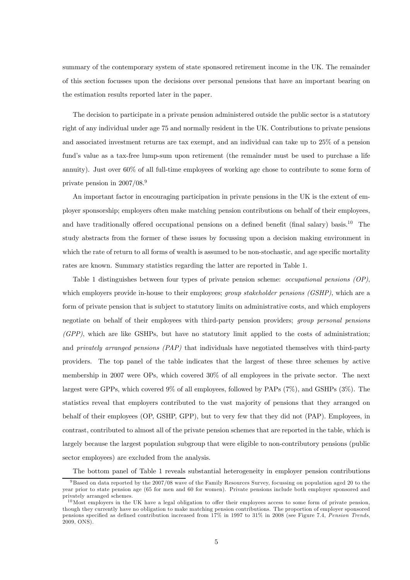summary of the contemporary system of state sponsored retirement income in the UK. The remainder of this section focusses upon the decisions over personal pensions that have an important bearing on the estimation results reported later in the paper.

The decision to participate in a private pension administered outside the public sector is a statutory right of any individual under age 75 and normally resident in the UK. Contributions to private pensions and associated investment returns are tax exempt, and an individual can take up to 25% of a pension fund's value as a tax-free lump-sum upon retirement (the remainder must be used to purchase a life annuity). Just over 60% of all full-time employees of working age chose to contribute to some form of private pension in 2007/08.9

An important factor in encouraging participation in private pensions in the UK is the extent of employer sponsorship; employers often make matching pension contributions on behalf of their employees, and have traditionally offered occupational pensions on a defined benefit (final salary) basis.<sup>10</sup> The study abstracts from the former of these issues by focussing upon a decision making environment in which the rate of return to all forms of wealth is assumed to be non-stochastic, and age specific mortality rates are known. Summary statistics regarding the latter are reported in Table 1.

Table 1 distinguishes between four types of private pension scheme: *occupational pensions (OP)*, which employers provide in-house to their employees; *group stakeholder pensions (GSHP)*, which are a form of private pension that is subject to statutory limits on administrative costs, and which employers negotiate on behalf of their employees with third-party pension providers; group personal pensions (GPP), which are like GSHPs, but have no statutory limit applied to the costs of administration; and *privately arranged pensions (PAP)* that individuals have negotiated themselves with third-party providers. The top panel of the table indicates that the largest of these three schemes by active membership in 2007 were OPs, which covered 30% of all employees in the private sector. The next largest were GPPs, which covered 9% of all employees, followed by PAPs (7%), and GSHPs (3%). The statistics reveal that employers contributed to the vast majority of pensions that they arranged on behalf of their employees (OP, GSHP, GPP), but to very few that they did not (PAP). Employees, in contrast, contributed to almost all of the private pension schemes that are reported in the table, which is largely because the largest population subgroup that were eligible to non-contributory pensions (public sector employees) are excluded from the analysis.

The bottom panel of Table 1 reveals substantial heterogeneity in employer pension contributions

<sup>9</sup> Based on data reported by the 2007/08 wave of the Family Resources Survey, focussing on population aged 20 to the year prior to state pension age (65 for men and 60 for women). Private pensions include both employer sponsored and privately arranged schemes.

 $10$ Most employers in the UK have a legal obligation to offer their employees access to some form of private pension, though they currently have no obligation to make matching pension contributions. The proportion of employer sponsored pensions specified as defined contribution increased from 17% in 1997 to 31% in 2008 (see Figure 7.4, Pension Trends, 2009, ONS).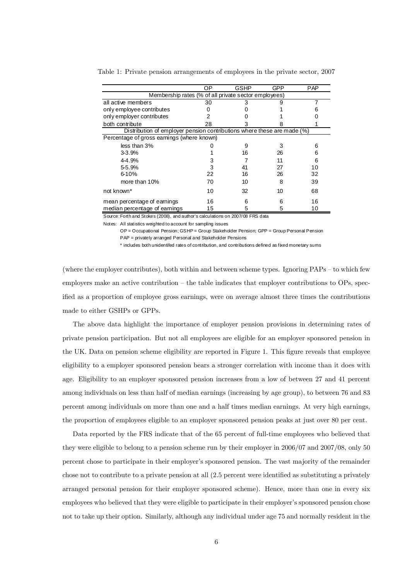|                                                                                | ОP | <b>GSHP</b> | GPP | <b>PAP</b> |
|--------------------------------------------------------------------------------|----|-------------|-----|------------|
| Membership rates (% of all private sector employees)                           |    |             |     |            |
| all active members                                                             | 30 | 3           |     |            |
| only employee contributes                                                      |    |             |     |            |
| only employer contributes                                                      |    |             |     |            |
| both contribute                                                                | 28 |             |     |            |
| Distribution of employer pension contributions where these are made (%)        |    |             |     |            |
| Percentage of gross earnings (where known)                                     |    |             |     |            |
| less than 3%                                                                   |    | 9           | 3   | 6          |
| $3 - 3.9%$                                                                     |    | 16          | 26  | 6          |
| 4-4.9%                                                                         |    |             | 11  | 6          |
| 5-5.9%                                                                         | 3  | 41          | 27  | 10         |
| 6-10%                                                                          | 22 | 16          | 26  | 32         |
| more than 10%                                                                  | 70 | 10          | 8   | 39         |
| not known <sup>*</sup>                                                         | 10 | 32          | 10  | 68         |
| mean percentage of earnings                                                    | 16 | 6           | 6   | 16         |
| median percentage of earnings                                                  | 15 | 5           | 5   | 10         |
| Source: Forth and Stokes (2008), and author's calculations on 2007/08 FRS data |    |             |     |            |

Table 1: Private pension arrangements of employees in the private sector, 2007

Notes: All statistics weighted to account for sampling issues

OP = Occupational Pension; GSHP = Group Stakeholder Pension; GPP = Group Personal Pension PAP = privately arranged Personal and Stakeholder Pensions

\* includes both unidentifed rates of contribution, and contributions defined as fixed monetary sums

(where the employer contributes), both within and between scheme types. Ignoring PAPs — to which few employers make an active contribution — the table indicates that employer contributions to OPs, specified as a proportion of employee gross earnings, were on average almost three times the contributions made to either GSHPs or GPPs.

The above data highlight the importance of employer pension provisions in determining rates of private pension participation. But not all employees are eligible for an employer sponsored pension in the UK. Data on pension scheme eligibility are reported in Figure 1. This figure reveals that employee eligibility to a employer sponsored pension bears a stronger correlation with income than it does with age. Eligibility to an employer sponsored pension increases from a low of between 27 and 41 percent among individuals on less than half of median earnings (increasing by age group), to between 76 and 83 percent among individuals on more than one and a half times median earnings. At very high earnings, the proportion of employees eligible to an employer sponsored pension peaks at just over 80 per cent.

Data reported by the FRS indicate that of the 65 percent of full-time employees who believed that they were eligible to belong to a pension scheme run by their employer in 2006/07 and 2007/08, only 50 percent chose to participate in their employer's sponsored pension. The vast majority of the remainder chose not to contribute to a private pension at all (2.5 percent were identified as substituting a privately arranged personal pension for their employer sponsored scheme). Hence, more than one in every six employees who believed that they were eligible to participate in their employer's sponsored pension chose not to take up their option. Similarly, although any individual under age 75 and normally resident in the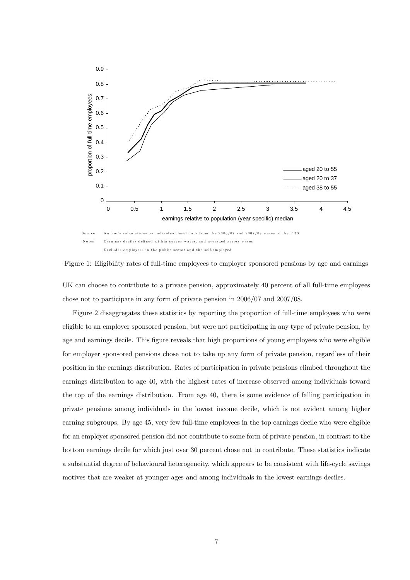

Figure 1: Eligibility rates of full-time employees to employer sponsored pensions by age and earnings

UK can choose to contribute to a private pension, approximately 40 percent of all full-time employees chose not to participate in any form of private pension in 2006/07 and 2007/08.

Figure 2 disaggregates these statistics by reporting the proportion of full-time employees who were eligible to an employer sponsored pension, but were not participating in any type of private pension, by age and earnings decile. This figure reveals that high proportions of young employees who were eligible for employer sponsored pensions chose not to take up any form of private pension, regardless of their position in the earnings distribution. Rates of participation in private pensions climbed throughout the earnings distribution to age 40, with the highest rates of increase observed among individuals toward the top of the earnings distribution. From age 40, there is some evidence of falling participation in private pensions among individuals in the lowest income decile, which is not evident among higher earning subgroups. By age 45, very few full-time employees in the top earnings decile who were eligible for an employer sponsored pension did not contribute to some form of private pension, in contrast to the bottom earnings decile for which just over 30 percent chose not to contribute. These statistics indicate a substantial degree of behavioural heterogeneity, which appears to be consistent with life-cycle savings motives that are weaker at younger ages and among individuals in the lowest earnings deciles.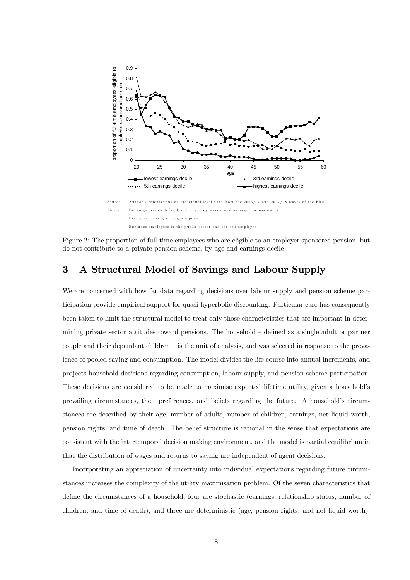

Figure 2: The proportion of full-time employees who are eligible to an employer sponsored pension, but do not contribute to a private pension scheme, by age and earnings decile

## 3 A Structural Model of Savings and Labour Supply

We are concerned with how far data regarding decisions over labour supply and pension scheme participation provide empirical support for quasi-hyperbolic discounting. Particular care has consequently been taken to limit the structural model to treat only those characteristics that are important in determining private sector attitudes toward pensions. The household — defined as a single adult or partner couple and their dependant children — is the unit of analysis, and was selected in response to the prevalence of pooled saving and consumption. The model divides the life course into annual increments, and projects household decisions regarding consumption, labour supply, and pension scheme participation. These decisions are considered to be made to maximise expected lifetime utility, given a household's prevailing circumstances, their preferences, and beliefs regarding the future. A household's circumstances are described by their age, number of adults, number of children, earnings, net liquid worth, pension rights, and time of death. The belief structure is rational in the sense that expectations are consistent with the intertemporal decision making environment, and the model is partial equilibrium in that the distribution of wages and returns to saving are independent of agent decisions.

Incorporating an appreciation of uncertainty into individual expectations regarding future circumstances increases the complexity of the utility maximisation problem. Of the seven characteristics that define the circumstances of a household, four are stochastic (earnings, relationship status, number of children, and time of death), and three are deterministic (age, pension rights, and net liquid worth).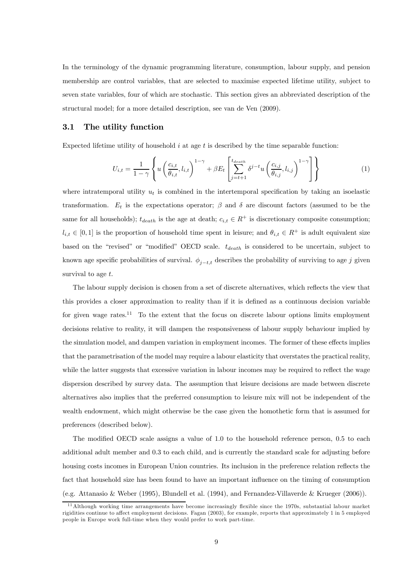In the terminology of the dynamic programming literature, consumption, labour supply, and pension membership are control variables, that are selected to maximise expected lifetime utility, subject to seven state variables, four of which are stochastic. This section gives an abbreviated description of the structural model; for a more detailed description, see van de Ven (2009).

#### 3.1 The utility function

Expected lifetime utility of household  $i$  at age  $t$  is described by the time separable function:

$$
U_{i,t} = \frac{1}{1-\gamma} \left\{ u \left( \frac{c_{i,t}}{\theta_{i,t}}, l_{i,t} \right)^{1-\gamma} + \beta E_t \left[ \sum_{j=t+1}^{t_{death}} \delta^{j-t} u \left( \frac{c_{i,j}}{\theta_{i,j}}, l_{i,j} \right)^{1-\gamma} \right] \right\}
$$
(1)

where intratemporal utility  $u_t$  is combined in the intertemporal specification by taking an isoelastic transformation.  $E_t$  is the expectations operator;  $\beta$  and  $\delta$  are discount factors (assumed to be the same for all households);  $t_{death}$  is the age at death;  $c_{i,t} \in R^+$  is discretionary composite consumption;  $l_{i,t} \in [0,1]$  is the proportion of household time spent in leisure; and  $\theta_{i,t} \in R^+$  is adult equivalent size based on the "revised" or "modified" OECD scale.  $t_{death}$  is considered to be uncertain, subject to known age specific probabilities of survival.  $\phi_{i-t,t}$  describes the probability of surviving to age j given survival to age  $t$ .

The labour supply decision is chosen from a set of discrete alternatives, which reflects the view that this provides a closer approximation to reality than if it is defined as a continuous decision variable for given wage rates.<sup>11</sup> To the extent that the focus on discrete labour options limits employment decisions relative to reality, it will dampen the responsiveness of labour supply behaviour implied by the simulation model, and dampen variation in employment incomes. The former of these effects implies that the parametrisation of the model may require a labour elasticity that overstates the practical reality, while the latter suggests that excessive variation in labour incomes may be required to reflect the wage dispersion described by survey data. The assumption that leisure decisions are made between discrete alternatives also implies that the preferred consumption to leisure mix will not be independent of the wealth endowment, which might otherwise be the case given the homothetic form that is assumed for preferences (described below).

The modified OECD scale assigns a value of 1.0 to the household reference person, 0.5 to each additional adult member and 0.3 to each child, and is currently the standard scale for adjusting before housing costs incomes in European Union countries. Its inclusion in the preference relation reflects the fact that household size has been found to have an important influence on the timing of consumption (e.g. Attanasio & Weber (1995), Blundell et al. (1994), and Fernandez-Villaverde & Krueger (2006)).

<sup>&</sup>lt;sup>11</sup> Although working time arrangements have become increasingly flexible since the 1970s, substantial labour market rigidities continue to affect employment decisions. Fagan (2003), for example, reports that approximately 1 in 5 employed people in Europe work full-time when they would prefer to work part-time.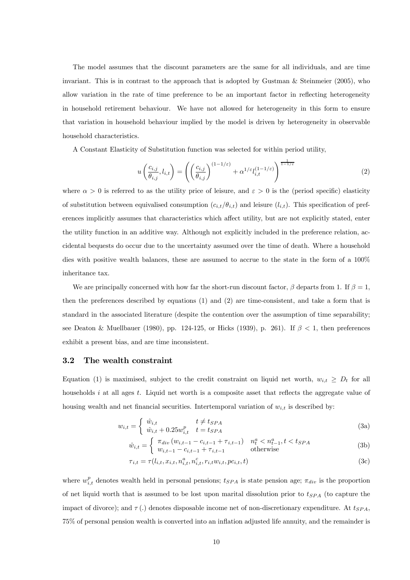The model assumes that the discount parameters are the same for all individuals, and are time invariant. This is in contrast to the approach that is adopted by Gustman  $\&$  Steinmeier (2005), who allow variation in the rate of time preference to be an important factor in reflecting heterogeneity in household retirement behaviour. We have not allowed for heterogeneity in this form to ensure that variation in household behaviour implied by the model is driven by heterogeneity in observable household characteristics.

A Constant Elasticity of Substitution function was selected for within period utility,

$$
u\left(\frac{c_{i,j}}{\theta_{i,j}}, l_{i,t}\right) = \left(\left(\frac{c_{i,j}}{\theta_{i,j}}\right)^{(1-1/\varepsilon)} + \alpha^{1/\varepsilon} l_{i,t}^{(1-1/\varepsilon)}\right)^{\frac{1}{1-1/\varepsilon}}
$$
(2)

where  $\alpha > 0$  is referred to as the utility price of leisure, and  $\varepsilon > 0$  is the (period specific) elasticity of substitution between equivalised consumption  $(c_{i,t}/\theta_{i,t})$  and leisure  $(l_{i,t})$ . This specification of preferences implicitly assumes that characteristics which affect utility, but are not explicitly stated, enter the utility function in an additive way. Although not explicitly included in the preference relation, accidental bequests do occur due to the uncertainty assumed over the time of death. Where a household dies with positive wealth balances, these are assumed to accrue to the state in the form of a 100% inheritance tax.

We are principally concerned with how far the short-run discount factor,  $\beta$  departs from 1. If  $\beta = 1$ , then the preferences described by equations (1) and (2) are time-consistent, and take a form that is standard in the associated literature (despite the contention over the assumption of time separability; see Deaton & Muellbauer (1980), pp. 124-125, or Hicks (1939), p. 261). If  $\beta < 1$ , then preferences exhibit a present bias, and are time inconsistent.

#### 3.2 The wealth constraint

Equation (1) is maximised, subject to the credit constraint on liquid net worth,  $w_{i,t} \ge D_t$  for all households  $i$  at all ages  $t$ . Liquid net worth is a composite asset that reflects the aggregate value of housing wealth and net financial securities. Intertemporal variation of  $w_{i,t}$  is described by:

$$
w_{i,t} = \begin{cases} \hat{w}_{i,t} & t \neq t_{SPA} \\ \hat{w}_{i,t} + 0.25w_{i,t}^p & t = t_{SPA} \end{cases}
$$
 (3a)

$$
\hat{w}_{i,t} = \begin{cases} \pi_{div} \left( w_{i,t-1} - c_{i,t-1} + \tau_{i,t-1} \right) & n_t^a < n_{t-1}^a, t < t_{SPA} \\ w_{i,t-1} - c_{i,t-1} + \tau_{i,t-1} & \text{otherwise} \end{cases} \tag{3b}
$$

$$
\tau_{i,t} = \tau(l_{i,t}, x_{i,t}, n_{i,t}^a, n_{i,t}^c, r_{i,t} w_{i,t}, pc_{i,t}, t)
$$
\n(3c)

where  $w_{i,t}^p$  denotes wealth held in personal pensions;  $t_{SPA}$  is state pension age;  $\pi_{div}$  is the proportion of net liquid worth that is assumed to be lost upon marital dissolution prior to  $t_{SPA}$  (to capture the impact of divorce); and  $\tau(.)$  denotes disposable income net of non-discretionary expenditure. At  $t_{SPA}$ , 75% of personal pension wealth is converted into an inflation adjusted life annuity, and the remainder is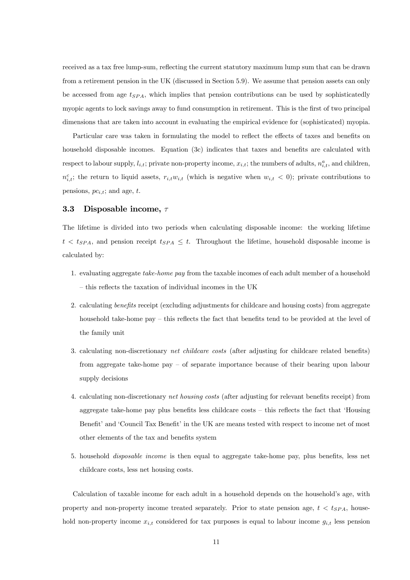received as a tax free lump-sum, reflecting the current statutory maximum lump sum that can be drawn from a retirement pension in the UK (discussed in Section 5.9). We assume that pension assets can only be accessed from age  $t_{SPA}$ , which implies that pension contributions can be used by sophisticatedly myopic agents to lock savings away to fund consumption in retirement. This is the first of two principal dimensions that are taken into account in evaluating the empirical evidence for (sophisticated) myopia.

Particular care was taken in formulating the model to reflect the effects of taxes and benefits on household disposable incomes. Equation (3c) indicates that taxes and benefits are calculated with respect to labour supply,  $l_{i,t}$ ; private non-property income,  $x_{i,t}$ ; the numbers of adults,  $n_{i,t}^a$ , and children,  $n_{i,t}^c$ ; the return to liquid assets,  $r_{i,t}w_{i,t}$  (which is negative when  $w_{i,t} < 0$ ); private contributions to pensions,  $pc_{i,t}$ ; and age, t.

#### 3.3 Disposable income,  $\tau$

The lifetime is divided into two periods when calculating disposable income: the working lifetime  $t < t_{SPA}$ , and pension receipt  $t_{SPA} \leq t$ . Throughout the lifetime, household disposable income is calculated by:

- 1. evaluating aggregate take-home pay from the taxable incomes of each adult member of a household — this reflects the taxation of individual incomes in the UK
- 2. calculating benefits receipt (excluding adjustments for childcare and housing costs) from aggregate household take-home pay – this reflects the fact that benefits tend to be provided at the level of the family unit
- 3. calculating non-discretionary net childcare costs (after adjusting for childcare related benefits) from aggregate take-home pay — of separate importance because of their bearing upon labour supply decisions
- 4. calculating non-discretionary net housing costs (after adjusting for relevant benefits receipt) from aggregate take-home pay plus benefits less childcare costs — this reflects the fact that 'Housing Benefit' and 'Council Tax Benefit' in the UK are means tested with respect to income net of most other elements of the tax and benefits system
- 5. household disposable income is then equal to aggregate take-home pay, plus benefits, less net childcare costs, less net housing costs.

Calculation of taxable income for each adult in a household depends on the household's age, with property and non-property income treated separately. Prior to state pension age,  $t < t_{SPA}$ , household non-property income  $x_{i,t}$  considered for tax purposes is equal to labour income  $g_{i,t}$  less pension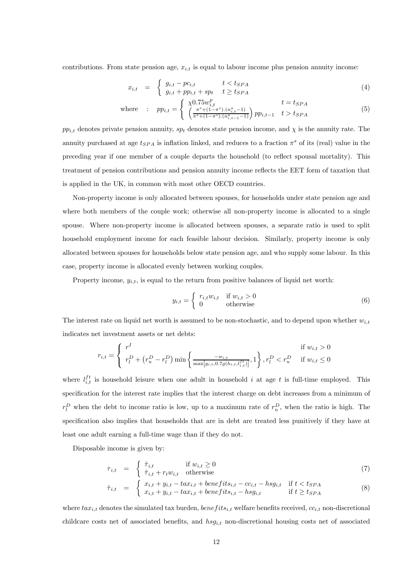contributions. From state pension age,  $x_{i,t}$  is equal to labour income plus pension annuity income:

$$
x_{i,t} = \begin{cases} g_{i,t} - pc_{i,t} & t < t_{SPA} \\ g_{i,t} + pp_{i,t} + sp_t & t \ge t_{SPA} \end{cases} \tag{4}
$$

where : 
$$
pp_{i,t} = \begin{cases} \chi 0.75 w_{i,t}^p & t = t_{SPA} \\ \left(\frac{\pi^s + (1 - \pi^s) \cdot (n_{i,t}^a - 1)}{\pi^s + (1 - \pi^s) \cdot (n_{i,t-1}^a - 1)}\right) pp_{i,t-1} & t > t_{SPA} \end{cases}
$$
 (5)

 $pp_{i,t}$  denotes private pension annuity,  $sp_t$  denotes state pension income, and  $\chi$  is the annuity rate. The annuity purchased at age  $t_{SPA}$  is inflation linked, and reduces to a fraction  $\pi^s$  of its (real) value in the preceding year if one member of a couple departs the household (to reflect spousal mortality). This treatment of pension contributions and pension annuity income reflects the EET form of taxation that is applied in the UK, in common with most other OECD countries.

Non-property income is only allocated between spouses, for households under state pension age and where both members of the couple work; otherwise all non-property income is allocated to a single spouse. Where non-property income is allocated between spouses, a separate ratio is used to split household employment income for each feasible labour decision. Similarly, property income is only allocated between spouses for households below state pension age, and who supply some labour. In this case, property income is allocated evenly between working couples.

Property income,  $y_{i,t}$ , is equal to the return from positive balances of liquid net worth:

$$
y_{i,t} = \begin{cases} r_{i,t}w_{i,t} & \text{if } w_{i,t} > 0\\ 0 & \text{otherwise} \end{cases}
$$
 (6)

The interest rate on liquid net worth is assumed to be non-stochastic, and to depend upon whether  $w_{i,t}$ indicates net investment assets or net debts:

$$
r_{i,t} = \begin{cases} r^I & \text{if } w_{i,t} > 0\\ r_l^D + (r_u^D - r_l^D) \min\left\{\frac{-w_{i,t}}{\max[g_{i,t}, 0.7g(h_{i,t}, l_{i,t}^{ft})]}, 1\right\}, r_l^D < r_u^D \text{ if } w_{i,t} \le 0 \end{cases}
$$

where  $l_{i,t}^{ft}$  is household leisure when one adult in household i at age t is full-time employed. This specification for the interest rate implies that the interest charge on debt increases from a minimum of  $r_l^D$  when the debt to income ratio is low, up to a maximum rate of  $r_u^D$ , when the ratio is high. The specification also implies that households that are in debt are treated less punitively if they have at least one adult earning a full-time wage than if they do not.

Disposable income is given by:

$$
\tau_{i,t} = \begin{cases} \hat{\tau}_{i,t} & \text{if } w_{i,t} \ge 0\\ \hat{\tau}_{i,t} + r_t w_{i,t} & \text{otherwise} \end{cases}
$$
\n(7)

$$
\hat{\tau}_{i,t} = \begin{cases}\n x_{i,t} + y_{i,t} - tax_{i,t} + benefit_{i,t} - cc_{i,t} - hsg_{i,t} & \text{if } t < t_{SPA} \\
 x_{i,t} + y_{i,t} - tax_{i,t} + benefit_{i,t} - hsg_{i,t} & \text{if } t \geq t_{SPA}\n\end{cases} \tag{8}
$$

where  $tax_{i,t}$  denotes the simulated tax burden,  $benefits_{i,t}$  welfare benefits received,  $cc_{i,t}$  non-discretional childcare costs net of associated benefits, and  $hsg_{i,t}$  non-discretional housing costs net of associated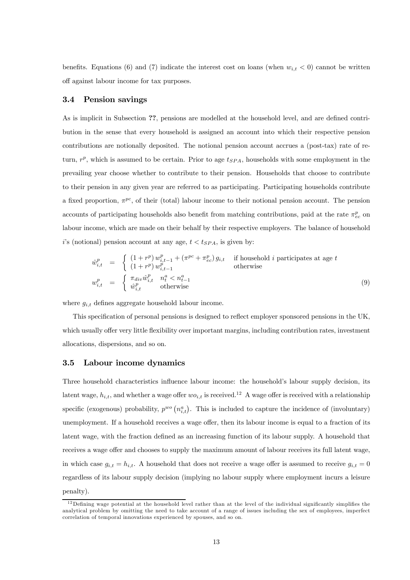benefits. Equations (6) and (7) indicate the interest cost on loans (when  $w_{i,t} < 0$ ) cannot be written off against labour income for tax purposes.

#### 3.4 Pension savings

As is implicit in Subsection ??, pensions are modelled at the household level, and are defined contribution in the sense that every household is assigned an account into which their respective pension contributions are notionally deposited. The notional pension account accrues a (post-tax) rate of return,  $r^p$ , which is assumed to be certain. Prior to age  $t_{SPA}$ , households with some employment in the prevailing year choose whether to contribute to their pension. Households that choose to contribute to their pension in any given year are referred to as participating. Participating households contribute a fixed proportion,  $\pi^{pc}$ , of their (total) labour income to their notional pension account. The pension accounts of participating households also benefit from matching contributions, paid at the rate  $\pi_{ec}^p$  on labour income, which are made on their behalf by their respective employers. The balance of household i's (notional) pension account at any age,  $t < t_{SPA}$ , is given by:

$$
\begin{array}{rcl}\n\hat{w}_{i,t}^p & = & \begin{cases}\n(1+r^p) \, w_{i,t-1}^p + (\pi^{pc} + \pi_{ec}^p) \, g_{i,t} & \text{if household } i \text{ participates at age } t \\
(1+r^p) \, w_{i,t-1}^p & \text{otherwise}\n\end{cases} \\
w_{i,t}^p & = & \begin{cases}\n\pi_{div} \hat{w}_{i,t}^p & n_t^a < n_{t-1}^a \\
\hat{w}_{i,t}^p & \text{otherwise}\n\end{cases}\n\end{array} \tag{9}
$$

where  $g_{i,t}$  defines aggregate household labour income.

This specification of personal pensions is designed to reflect employer sponsored pensions in the UK, which usually offer very little flexibility over important margins, including contribution rates, investment allocations, dispersions, and so on.

#### 3.5 Labour income dynamics

Three household characteristics influence labour income: the household's labour supply decision, its latent wage,  $h_{i,t}$ , and whether a wage offer  $wo_{i,t}$  is received.<sup>12</sup> A wage offer is received with a relationship specific (exogenous) probability,  $p^{wo} (n_{i,t}^a)$ . This is included to capture the incidence of (involuntary) unemployment. If a household receives a wage offer, then its labour income is equal to a fraction of its latent wage, with the fraction defined as an increasing function of its labour supply. A household that receives a wage offer and chooses to supply the maximum amount of labour receives its full latent wage, in which case  $g_{i,t} = h_{i,t}$ . A household that does not receive a wage offer is assumed to receive  $g_{i,t} = 0$ regardless of its labour supply decision (implying no labour supply where employment incurs a leisure penalty).

 $12$  Defining wage potential at the household level rather than at the level of the individual significantly simplifies the analytical problem by omitting the need to take account of a range of issues including the sex of employees, imperfect correlation of temporal innovations experienced by spouses, and so on.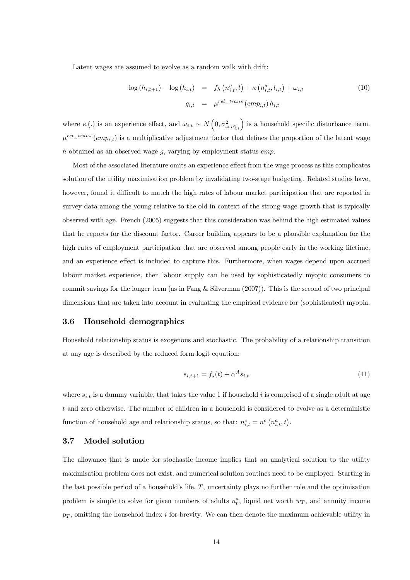Latent wages are assumed to evolve as a random walk with drift:

$$
\log (h_{i,t+1}) - \log (h_{i,t}) = f_h \left( n_{i,t}^a, t \right) + \kappa \left( n_{i,t}^a, l_{i,t} \right) + \omega_{i,t}
$$
\n
$$
g_{i,t} = \mu^{rel\_trans} (emp_{i,t}) h_{i,t}
$$
\n(10)

where  $\kappa(.)$  is an experience effect, and  $\omega_{i,t} \sim N\left(0, \sigma_{\omega,n_{i,t}}^2\right)$  is a household specific disturbance term.  $\mu^{rel\_trans}(emp_{i,t})$  is a multiplicative adjustment factor that defines the proportion of the latent wage h obtained as an observed wage  $q$ , varying by employment status *emp*.

Most of the associated literature omits an experience effect from the wage process as this complicates solution of the utility maximisation problem by invalidating two-stage budgeting. Related studies have, however, found it difficult to match the high rates of labour market participation that are reported in survey data among the young relative to the old in context of the strong wage growth that is typically observed with age. French (2005) suggests that this consideration was behind the high estimated values that he reports for the discount factor. Career building appears to be a plausible explanation for the high rates of employment participation that are observed among people early in the working lifetime, and an experience effect is included to capture this. Furthermore, when wages depend upon accrued labour market experience, then labour supply can be used by sophisticatedly myopic consumers to commit savings for the longer term (as in Fang & Silverman (2007)). This is the second of two principal dimensions that are taken into account in evaluating the empirical evidence for (sophisticated) myopia.

#### 3.6 Household demographics

Household relationship status is exogenous and stochastic. The probability of a relationship transition at any age is described by the reduced form logit equation:

$$
s_{i,t+1} = f_s(t) + \alpha^A s_{i,t}
$$
\n(11)

where  $s_{i,t}$  is a dummy variable, that takes the value 1 if household i is comprised of a single adult at age t and zero otherwise. The number of children in a household is considered to evolve as a deterministic function of household age and relationship status, so that:  $n_{i,t}^c = n^c (n_{i,t}^a, t)$ .

#### 3.7 Model solution

The allowance that is made for stochastic income implies that an analytical solution to the utility maximisation problem does not exist, and numerical solution routines need to be employed. Starting in the last possible period of a household's life,  $T$ , uncertainty plays no further role and the optimisation problem is simple to solve for given numbers of adults  $n_t^a$ , liquid net worth  $w_T$ , and annuity income  $p<sub>T</sub>$ , omitting the household index i for brevity. We can then denote the maximum achievable utility in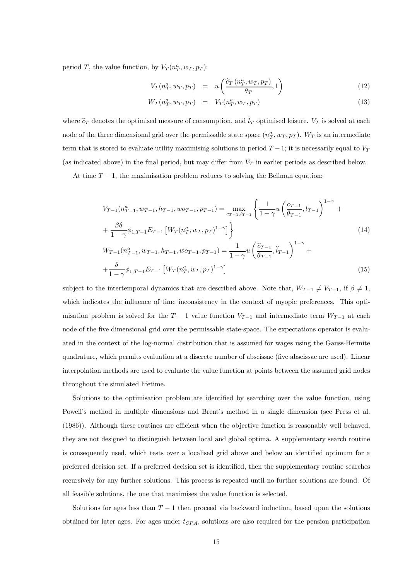period T, the value function, by  $V_T(n_T^a, w_T, p_T)$ :

$$
V_T(n_T^a, w_T, p_T) = u\left(\frac{\hat{c}_T(n_T^a, w_T, p_T)}{\theta_T}, 1\right)
$$
\n(12)

$$
W_T(n_T^a, w_T, p_T) = V_T(n_T^a, w_T, p_T) \tag{13}
$$

where  $\hat{c}_T$  denotes the optimised measure of consumption, and  $\hat{l}_T$  optimised leisure.  $V_T$  is solved at each node of the three dimensional grid over the permissable state space  $(n_T^a, w_T, p_T)$ .  $W_T$  is an intermediate term that is stored to evaluate utility maximising solutions in period  $T-1$ ; it is necessarily equal to  $V_T$ (as indicated above) in the final period, but may differ from  $V_T$  in earlier periods as described below.

At time  $T - 1$ , the maximisation problem reduces to solving the Bellman equation:

$$
V_{T-1}(n_{T-1}^a, w_{T-1}, h_{T-1}, w_{T-1}, p_{T-1}) = \max_{c_{T-1}, l_{T-1}} \left\{ \frac{1}{1 - \gamma} u \left( \frac{c_{T-1}}{\theta_{T-1}}, l_{T-1} \right)^{1 - \gamma} + \frac{\beta \delta}{1 - \gamma} \phi_{1, T-1} E_{T-1} \left[ W_T(n_T^a, w_T, p_T)^{1 - \gamma} \right] \right\}
$$
\n
$$
(14)
$$
\n
$$
W_{T-1}(n_{T-1}^a, w_{T-1}, h_{T-1}, w_{T-1}, p_{T-1}) = \frac{1}{1 - \gamma} u \left( \frac{\hat{c}_{T-1}}{\theta_{T-1}}, \hat{l}_{T-1} \right)^{1 - \gamma} + \frac{\delta}{1 - \gamma} \phi_{1, T-1} E_{T-1} \left[ W_T(n_T^a, w_T, p_T)^{1 - \gamma} \right]
$$
\n
$$
(15)
$$

subject to the intertemporal dynamics that are described above. Note that,  $W_{T-1} \neq V_{T-1}$ , if  $\beta \neq 1$ , which indicates the influence of time inconsistency in the context of myopic preferences. This optimisation problem is solved for the  $T-1$  value function  $V_{T-1}$  and intermediate term  $W_{T-1}$  at each node of the five dimensional grid over the permissable state-space. The expectations operator is evaluated in the context of the log-normal distribution that is assumed for wages using the Gauss-Hermite quadrature, which permits evaluation at a discrete number of abscissae (five abscissae are used). Linear interpolation methods are used to evaluate the value function at points between the assumed grid nodes throughout the simulated lifetime.

Solutions to the optimisation problem are identified by searching over the value function, using Powell's method in multiple dimensions and Brent's method in a single dimension (see Press et al. (1986)). Although these routines are efficient when the objective function is reasonably well behaved, they are not designed to distinguish between local and global optima. A supplementary search routine is consequently used, which tests over a localised grid above and below an identified optimum for a preferred decision set. If a preferred decision set is identified, then the supplementary routine searches recursively for any further solutions. This process is repeated until no further solutions are found. Of all feasible solutions, the one that maximises the value function is selected.

Solutions for ages less than  $T-1$  then proceed via backward induction, based upon the solutions obtained for later ages. For ages under  $t_{SPA}$ , solutions are also required for the pension participation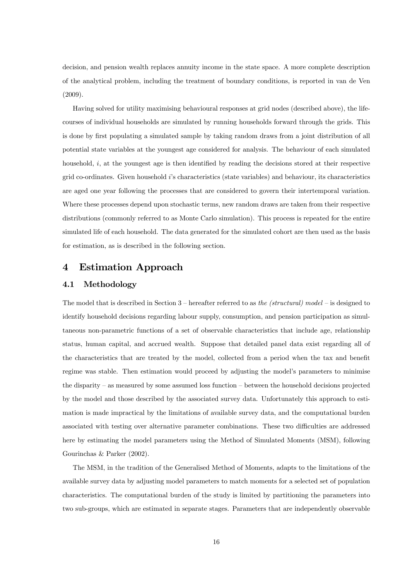decision, and pension wealth replaces annuity income in the state space. A more complete description of the analytical problem, including the treatment of boundary conditions, is reported in van de Ven (2009).

Having solved for utility maximising behavioural responses at grid nodes (described above), the lifecourses of individual households are simulated by running households forward through the grids. This is done by first populating a simulated sample by taking random draws from a joint distribution of all potential state variables at the youngest age considered for analysis. The behaviour of each simulated household,  $i$ , at the youngest age is then identified by reading the decisions stored at their respective grid co-ordinates. Given household i's characteristics (state variables) and behaviour, its characteristics are aged one year following the processes that are considered to govern their intertemporal variation. Where these processes depend upon stochastic terms, new random draws are taken from their respective distributions (commonly referred to as Monte Carlo simulation). This process is repeated for the entire simulated life of each household. The data generated for the simulated cohort are then used as the basis for estimation, as is described in the following section.

## 4 Estimation Approach

#### 4.1 Methodology

The model that is described in Section 3 — hereafter referred to as the (structural) model — is designed to identify household decisions regarding labour supply, consumption, and pension participation as simultaneous non-parametric functions of a set of observable characteristics that include age, relationship status, human capital, and accrued wealth. Suppose that detailed panel data exist regarding all of the characteristics that are treated by the model, collected from a period when the tax and benefit regime was stable. Then estimation would proceed by adjusting the model's parameters to minimise the disparity — as measured by some assumed loss function — between the household decisions projected by the model and those described by the associated survey data. Unfortunately this approach to estimation is made impractical by the limitations of available survey data, and the computational burden associated with testing over alternative parameter combinations. These two difficulties are addressed here by estimating the model parameters using the Method of Simulated Moments (MSM), following Gourinchas & Parker (2002).

The MSM, in the tradition of the Generalised Method of Moments, adapts to the limitations of the available survey data by adjusting model parameters to match moments for a selected set of population characteristics. The computational burden of the study is limited by partitioning the parameters into two sub-groups, which are estimated in separate stages. Parameters that are independently observable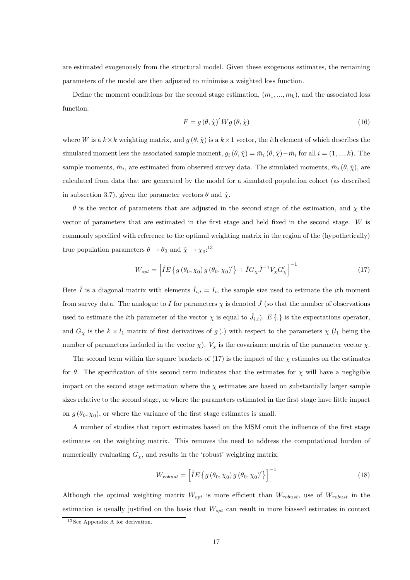are estimated exogenously from the structural model. Given these exogenous estimates, the remaining parameters of the model are then adjusted to minimise a weighted loss function.

Define the moment conditions for the second stage estimation,  $(m_1, ..., m_k)$ , and the associated loss function:

$$
F = g(\theta, \hat{\chi})' W g(\theta, \hat{\chi})
$$
\n(16)

where W is a  $k \times k$  weighting matrix, and  $g(\theta, \hat{\chi})$  is a  $k \times 1$  vector, the *i*th element of which describes the simulated moment less the associated sample moment,  $g_i(\theta, \hat{\chi}) = \bar{m}_i (\theta, \hat{\chi}) - \hat{m}_i$  for all  $i = (1, ..., k)$ . The sample moments,  $\hat{m}_i$ , are estimated from observed survey data. The simulated moments,  $\bar{m}_i$  ( $\theta$ ,  $\hat{\chi}$ ), are calculated from data that are generated by the model for a simulated population cohort (as described in subsection 3.7), given the parameter vectors  $\theta$  and  $\hat{\chi}$ .

 $\theta$  is the vector of parameters that are adjusted in the second stage of the estimation, and  $\chi$  the vector of parameters that are estimated in the first stage and held fixed in the second stage. W is commonly specified with reference to the optimal weighting matrix in the region of the (hypothetically) true population parameters  $\theta \to \theta_0$  and  $\hat{\chi} \to {\chi_0}$ :<sup>13</sup>

$$
W_{opt} = \left[ \hat{I}E \left\{ g \left( \theta_0, \chi_0 \right) g \left( \theta_0, \chi_0 \right)' \right\} + \hat{I}G_\chi \hat{J}^{-1} V_\chi G'_\chi \right]^{-1} \tag{17}
$$

Here  $\hat{I}$  is a diagonal matrix with elements  $\hat{I}_{i,i} = I_i$ , the sample size used to estimate the *i*th moment from survey data. The analogue to  $\hat{I}$  for parameters  $\chi$  is denoted  $\hat{J}$  (so that the number of observations used to estimate the *i*<sup>th</sup> parameter of the vector  $\chi$  is equal to  $\hat{J}_{i,i}$ ).  $E\{.\}$  is the expectations operator, and  $G_\chi$  is the  $k \times l_1$  matrix of first derivatives of g(.) with respect to the parameters  $\chi$  ( $l_1$  being the number of parameters included in the vector  $\chi$ ).  $V_{\chi}$  is the covariance matrix of the parameter vector  $\chi$ .

The second term within the square brackets of  $(17)$  is the impact of the  $\chi$  estimates on the estimates for  $\theta$ . The specification of this second term indicates that the estimates for  $\chi$  will have a negligible impact on the second stage estimation where the  $\chi$  estimates are based on substantially larger sample sizes relative to the second stage, or where the parameters estimated in the first stage have little impact on  $g(\theta_0, \chi_0)$ , or where the variance of the first stage estimates is small.

A number of studies that report estimates based on the MSM omit the influence of the first stage estimates on the weighting matrix. This removes the need to address the computational burden of numerically evaluating  $G_{\chi}$ , and results in the 'robust' weighting matrix:

$$
W_{robust} = \left[ \hat{I}E \left\{ g \left( \theta_0, \chi_0 \right) g \left( \theta_0, \chi_0 \right)' \right\} \right]^{-1} \tag{18}
$$

Although the optimal weighting matrix  $W_{opt}$  is more efficient than  $W_{robust}$ , use of  $W_{robust}$  in the estimation is usually justified on the basis that  $W_{opt}$  can result in more biassed estimates in context

<sup>&</sup>lt;sup>13</sup> See Appendix A for derivation.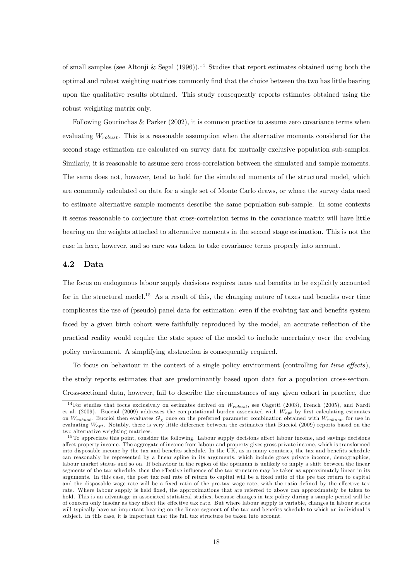of small samples (see Altonii & Segal (1996)).<sup>14</sup> Studies that report estimates obtained using both the optimal and robust weighting matrices commonly find that the choice between the two has little bearing upon the qualitative results obtained. This study consequently reports estimates obtained using the robust weighting matrix only.

Following Gourinchas & Parker (2002), it is common practice to assume zero covariance terms when evaluating  $W_{robust}$ . This is a reasonable assumption when the alternative moments considered for the second stage estimation are calculated on survey data for mutually exclusive population sub-samples. Similarly, it is reasonable to assume zero cross-correlation between the simulated and sample moments. The same does not, however, tend to hold for the simulated moments of the structural model, which are commonly calculated on data for a single set of Monte Carlo draws, or where the survey data used to estimate alternative sample moments describe the same population sub-sample. In some contexts it seems reasonable to conjecture that cross-correlation terms in the covariance matrix will have little bearing on the weights attached to alternative moments in the second stage estimation. This is not the case in here, however, and so care was taken to take covariance terms properly into account.

#### 4.2 Data

The focus on endogenous labour supply decisions requires taxes and benefits to be explicitly accounted for in the structural model.<sup>15</sup> As a result of this, the changing nature of taxes and benefits over time complicates the use of (pseudo) panel data for estimation: even if the evolving tax and benefits system faced by a given birth cohort were faithfully reproduced by the model, an accurate reflection of the practical reality would require the state space of the model to include uncertainty over the evolving policy environment. A simplifying abstraction is consequently required.

To focus on behaviour in the context of a single policy environment (controlling for time effects), the study reports estimates that are predominantly based upon data for a population cross-section. Cross-sectional data, however, fail to describe the circumstances of any given cohort in practice, due

<sup>&</sup>lt;sup>14</sup>For studies that focus exclusively on estimates derived on  $W_{robust}$ , see Cagetti (2003), French (2005), and Nardi et al. (2009). Bucciol (2009) addresses the computational burden associated with  $W_{\text{out}}$  by first calculating estimates on  $W_{robust}$ . Bucciol then evaluates  $G_\chi$  once on the preferred parameter combination obtained with  $W_{robust}$ , for use in evaluating  $W_{opt}$ . Notably, there is very little difference between the estimates that Bucciol (2009) reports based on the two alternative weighting matrices.

 $15$ To appreciate this point, consider the following. Labour supply decisions affect labour income, and savings decisions affect property income. The aggregate of income from labour and property gives gross private income, which is transformed into disposable income by the tax and benefits schedule. In the UK, as in many countries, the tax and benefits schedule can reasonably be represented by a linear spline in its arguments, which include gross private income, demographics, labour market status and so on. If behaviour in the region of the optimum is unlikely to imply a shift between the linear segments of the tax schedule, then the effective influence of the tax structure may be taken as approximately linear in its arguments. In this case, the post tax real rate of return to capital will be a fixed ratio of the pre tax return to capital and the disposable wage rate will be a fixed ratio of the pre-tax wage rate, with the ratio defined by the effective tax rate. Where labour supply is held fixed, the approximations that are referred to above can approximately be taken to hold. This is an advantage in associated statistical studies, because changes in tax policy during a sample period will be of concern only insofar as they affect the effective tax rate. But where labour supply is variable, changes in labour status will typically have an important bearing on the linear segment of the tax and benefits schedule to which an individual is sub ject. In this case, it is important that the full tax structure be taken into account.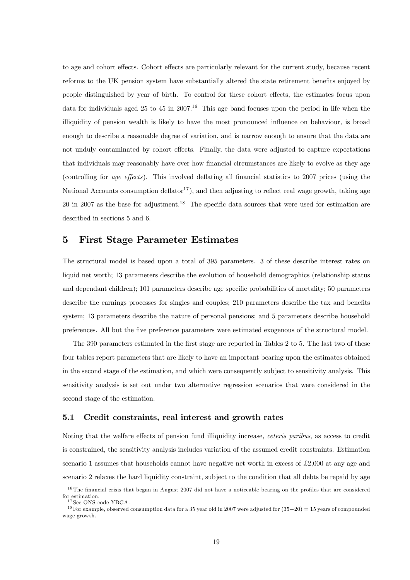to age and cohort effects. Cohort effects are particularly relevant for the current study, because recent reforms to the UK pension system have substantially altered the state retirement benefits enjoyed by people distinguished by year of birth. To control for these cohort effects, the estimates focus upon data for individuals aged 25 to 45 in 2007.<sup>16</sup> This age band focuses upon the period in life when the illiquidity of pension wealth is likely to have the most pronounced influence on behaviour, is broad enough to describe a reasonable degree of variation, and is narrow enough to ensure that the data are not unduly contaminated by cohort effects. Finally, the data were adjusted to capture expectations that individuals may reasonably have over how financial circumstances are likely to evolve as they age (controlling for age effects). This involved deflating all financial statistics to 2007 prices (using the National Accounts consumption deflator<sup>17</sup>), and then adjusting to reflect real wage growth, taking age 20 in 2007 as the base for adjustment.<sup>18</sup> The specific data sources that were used for estimation are described in sections 5 and 6.

## 5 First Stage Parameter Estimates

The structural model is based upon a total of 395 parameters. 3 of these describe interest rates on liquid net worth; 13 parameters describe the evolution of household demographics (relationship status and dependant children); 101 parameters describe age specific probabilities of mortality; 50 parameters describe the earnings processes for singles and couples; 210 parameters describe the tax and benefits system; 13 parameters describe the nature of personal pensions; and 5 parameters describe household preferences. All but the five preference parameters were estimated exogenous of the structural model.

The 390 parameters estimated in the first stage are reported in Tables 2 to 5. The last two of these four tables report parameters that are likely to have an important bearing upon the estimates obtained in the second stage of the estimation, and which were consequently subject to sensitivity analysis. This sensitivity analysis is set out under two alternative regression scenarios that were considered in the second stage of the estimation.

#### 5.1 Credit constraints, real interest and growth rates

Noting that the welfare effects of pension fund illiquidity increase, ceteris paribus, as access to credit is constrained, the sensitivity analysis includes variation of the assumed credit constraints. Estimation scenario 1 assumes that households cannot have negative net worth in excess of £2,000 at any age and scenario 2 relaxes the hard liquidity constraint, subject to the condition that all debts be repaid by age

<sup>&</sup>lt;sup>16</sup>The financial crisis that began in August 2007 did not have a noticeable bearing on the profiles that are considered for estimation.

<sup>&</sup>lt;sup>17</sup> See ONS code YBGA.

<sup>&</sup>lt;sup>18</sup> For example, observed consumption data for a 35 year old in 2007 were adjusted for  $(35-20) = 15$  years of compounded wage growth.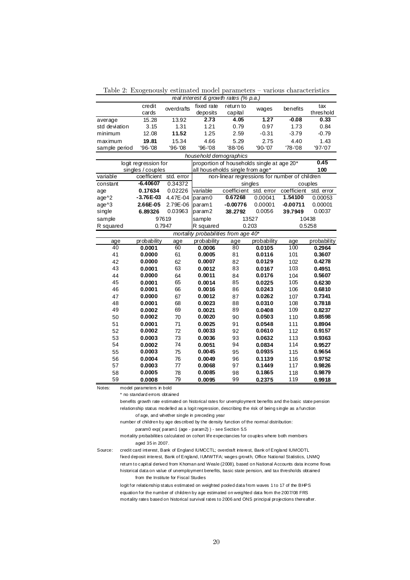Table 2: Exogenously estimated model parameters — various characteristics

| real interest & growth rates (% p.a.) |                        |                                 |                        |                                      |                                               |             |             |  |
|---------------------------------------|------------------------|---------------------------------|------------------------|--------------------------------------|-----------------------------------------------|-------------|-------------|--|
|                                       | credit                 | overdrafts                      | fixed rate             | return to                            | wages                                         | benefits    | tax         |  |
|                                       | cards                  |                                 | deposits               | capital                              |                                               |             | threshold   |  |
| average                               | 15.28                  | 13.92                           | 2.73                   | 4.05                                 | 1.27                                          | $-0.08$     | 0.33        |  |
| std deviation                         | 3.15                   | 1.31                            | 1.21                   | 0.79                                 | 0.97                                          | 1.73        | 0.84        |  |
| minimum                               | 12.08                  | 11.52                           | 1.25                   | 2.59                                 | $-0.31$                                       | $-3.79$     | $-0.79$     |  |
| maximum                               | 19.81                  | 15.34                           | 4.66                   | 5.29                                 | 2.75                                          | 4.40        | 1.43        |  |
| sample period                         | '96-'08                | '96-'08                         | '96-'08                | '88-'06                              | '90-'07                                       | '78-'08     | '97-'07     |  |
|                                       |                        |                                 | household demographics |                                      |                                               |             |             |  |
|                                       | logit regression for   |                                 |                        |                                      | proportion of households single at age 20*    |             | 0.45        |  |
| singles / couples                     |                        | all households single from age* |                        |                                      | 100                                           |             |             |  |
| variable                              | coefficient std. error |                                 |                        |                                      | non-linear regressions for number of children |             |             |  |
| constant                              | $-6.40607$             | 0.34372                         |                        |                                      | singles                                       |             | couples     |  |
| age                                   | 0.17634                | 0.02226                         | variable               | coefficient                          | std. error                                    | coefficient | std. error  |  |
| age^2                                 | $-3.76E-03$            | 4.47E-04                        | param0                 | 0.67268                              | 0.00041                                       | 1.54100     | 0.00053     |  |
| age^3                                 | 2.66E-05               | 2.79E-06                        | param1                 | $-0.00776$                           | 0.00001                                       | $-0.00711$  | 0.00001     |  |
| single                                | 6.89326                | 0.03963                         | param2                 | 38.2792                              | 0.0056                                        | 39.7949     | 0.0037      |  |
| sample                                | 97619                  |                                 | 13527<br>sample        |                                      |                                               |             | 10438       |  |
| R squared                             | 0.7947                 |                                 | 0.203<br>R squared     |                                      |                                               |             | 0.5258      |  |
|                                       |                        |                                 |                        | mortality probabilities from age 40* |                                               |             |             |  |
| age                                   | probability            | age                             | probability            | age                                  | probability                                   | age         | probability |  |
| 40                                    | 0.0001                 | 60                              | 0.0006                 | 80                                   | 0.0105                                        | 100         | 0.2964      |  |
| 41                                    | 0.0000                 | 61                              | 0.0005                 | 81                                   | 0.0116                                        | 101         | 0.3607      |  |
| 42                                    | 0.0000                 | 62                              | 0.0007                 | 82                                   | 0.0129                                        | 102         | 0.4278      |  |
| 43                                    | 0.0001                 | 63                              | 0.0012                 | 83                                   | 0.0167                                        | 103         | 0.4951      |  |
| 44                                    | 0.0000                 | 64                              | 0.0011                 | 84                                   | 0.0176                                        | 104         | 0.5607      |  |
| 45                                    | 0.0001                 | 65                              | 0.0014                 | 85                                   | 0.0225                                        | 105         | 0.6230      |  |
| 46                                    | 0.0001                 | 66                              | 0.0016                 | 86                                   | 0.0243                                        | 106         | 0.6810      |  |
| 47                                    | 0.0000                 | 67                              | 0.0012                 | 87                                   | 0.0262                                        | 107         | 0.7341      |  |
| 48                                    | 0.0001                 | 68                              | 0.0023                 | 88                                   | 0.0310                                        | 108         | 0.7818      |  |
| 49                                    | 0.0002                 | 69                              | 0.0021                 | 89                                   | 0.0408                                        | 109         | 0.8237      |  |
| 50                                    | 0.0002                 | 70                              | 0.0020                 | 90                                   | 0.0503                                        | 110         | 0.8598      |  |
| 51                                    | 0.0001                 | 71                              | 0.0025                 | 91                                   | 0.0548                                        | 111         | 0.8904      |  |
| 52                                    | 0.0002                 | 72                              | 0.0033                 | 92                                   | 0.0610                                        | 112         | 0.9157      |  |
| 53                                    | 0.0003                 | 73                              | 0.0036                 | 93                                   | 0.0632                                        | 113         | 0.9363      |  |
| 54                                    | 0.0002                 | 74                              | 0.0051                 | 94                                   | 0.0834                                        | 114         | 0.9527      |  |
| 55                                    | 0.0003                 | 75                              | 0.0045                 | 95                                   | 0.0935                                        | 115         | 0.9654      |  |
| 56                                    | 0.0004                 | 76                              | 0.0049                 | 96                                   | 0.1139                                        | 116         | 0.9752      |  |
| 57                                    | 0.0003                 | 77                              | 0.0068                 | 97                                   | 0.1449                                        | 117         | 0.9826      |  |
| 58                                    | 0.0005                 | 78                              | 0.0085                 | 98                                   | 0.1865                                        | 118         | 0.9879      |  |
| 59                                    | 0.0008                 | 79                              | 0.0095                 | 99                                   | 0.2375                                        | 119         | 0.9918      |  |

Notes: model parameters in bold

\* no standard errors obtained

benefits growth rate estimated on historical rates for unemployment benefits and the basic state pension relationship status modelled as a logit regression, describing the risk of being single as a function of age, and whether single in preceding year

number of children by age described by the density function of the normal distribution:

param0 exp( param1 (age - param2) ) - see Section 5.5

mortality probabilities calculated on cohort life expectancies for couples where both members aged 35 in 2007.

Source: credit card interest, Bank of England IUMCCTL; overdraft interest, Bank of England IUMODTL fixed deposit interest, Bank of England, IUMWTFA; wages growth, Office National Statistics, LNMQ return to capital derived from Khoman and Weale (2008), based on National Accounts data income flows historical data on value of unemployment benefits, basic state pension, and tax thresholds obtained from the Institute for Fiscal Studies

logit for relationship status estimated on weighted pooled data from waves 1 to 17 of the BHPS equation for the number of children by age estimated on weighted data from the 2007/08 FRS mortality rates based on historical survival rates to 2006 and ONS principal projections thereafter.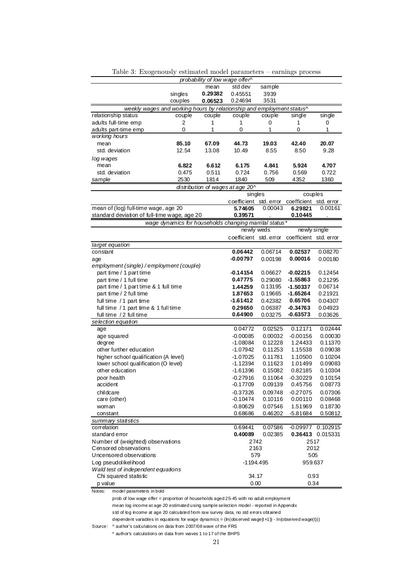|                                                                                       |         | probability of low wage offer^ |                                                        |         |                                               |                   |
|---------------------------------------------------------------------------------------|---------|--------------------------------|--------------------------------------------------------|---------|-----------------------------------------------|-------------------|
|                                                                                       |         | mean                           | std dev                                                | sample  |                                               |                   |
|                                                                                       | singles | 0.29382                        | 0.45551                                                | 3939    |                                               |                   |
|                                                                                       | couples | 0.06523                        | 0.24694                                                | 3531    |                                               |                   |
| weekly wages and working hours by relationship and employment status^                 |         |                                |                                                        |         |                                               |                   |
| relationship status                                                                   | couple  | couple                         | couple                                                 | couple  | single                                        | single            |
| adults full-time emp                                                                  | 2       | 1                              | 1                                                      | 0       | 1                                             | 0                 |
| adults part-time emp                                                                  | 0       | 1                              | 0                                                      | 1       | 0                                             | 1                 |
| working hours                                                                         |         |                                |                                                        |         |                                               |                   |
| mean                                                                                  | 85.10   | 67.09                          | 44.73                                                  | 19.03   | 42.40                                         | 20.07             |
| std. deviation                                                                        | 12.54   | 13.08                          | 10.49                                                  | 8.55    | 8.50                                          | 9.28              |
| log wages                                                                             |         |                                |                                                        |         |                                               |                   |
| mean                                                                                  | 6.822   | 6.612                          | 6.175                                                  | 4.841   | 5.924                                         | 4.707             |
| std. deviation                                                                        | 0.475   | 0.511                          | 0.724                                                  | 0.756   | 0.569                                         | 0.722             |
| sample                                                                                | 2530    | 1814                           | 1840                                                   | 509     | 4352                                          | 1360              |
|                                                                                       |         |                                | distribution of wages at age 20^                       |         |                                               |                   |
|                                                                                       |         |                                | singles                                                |         | couples                                       |                   |
|                                                                                       |         |                                |                                                        |         | coefficient std. error coefficient std. error |                   |
| mean of (log) full-time wage, age 20                                                  |         |                                | 5.74605                                                | 0.00043 | 6.29821                                       | 0.00161           |
| standard deviation of full-time wage, age 20                                          |         |                                | 0.39571                                                |         | 0.10445                                       |                   |
|                                                                                       |         |                                | wage dynamics for households changing marrital status* |         |                                               |                   |
|                                                                                       |         |                                | newly weds                                             |         | newly single                                  |                   |
|                                                                                       |         |                                | coefficient std. error                                 |         | coefficient std. error                        |                   |
| target equation                                                                       |         |                                |                                                        |         |                                               |                   |
| constant                                                                              |         |                                | 0.06442                                                | 0.06714 | 0.02537                                       | 0.08270           |
| age                                                                                   |         |                                | -0.00797                                               | 0.00198 | 0.00016                                       | 0.00180           |
| employment (single) / employment (couple)                                             |         |                                |                                                        |         |                                               |                   |
| part time / 1 part time                                                               |         |                                | -0.14154                                               | 0.06627 | $-0.02215$                                    | 0.12454           |
| part time / 1 full time                                                               |         |                                | 0.47775                                                | 0.29080 | $-1.55863$                                    | 0.21295           |
| part time / 1 part time & 1 full time                                                 |         |                                | 1.44259                                                | 0.13195 | $-1.50337$                                    | 0.06714           |
| part time / 2 full time                                                               |         |                                | 1.87653                                                | 0.19665 | $-1.65264$                                    | 0.21921           |
| full time / 1 part time                                                               |         |                                | $-1.61412$                                             | 0.42382 | 0.65706                                       | 0.04307           |
| full time / 1 part time & 1 full time                                                 |         |                                | 0.29650<br>0.64900                                     | 0.06387 | -0.34763<br>$-0.63573$                        | 0.04923           |
| full time /2 full time                                                                |         |                                |                                                        | 0.03275 |                                               | 0.03626           |
| selection equation<br>age                                                             |         |                                | 0.04772                                                | 0.02525 | 0.12171                                       | 0.02444           |
| age squared                                                                           |         |                                | $-0.00085$                                             | 0.00032 | $-0.00156$                                    | 0.00030           |
| degree                                                                                |         |                                | -1.08084                                               | 0.12228 | 1.24433                                       | 0.11370           |
| other further education                                                               |         |                                | -1.07942                                               | 0.11253 | 1.15538                                       | 0.09038           |
| higher school qualification (A level)                                                 |         |                                | $-1.07025$                                             | 0.11781 | 1.10500                                       | 0.10204           |
| lower school qualification (O level)                                                  |         |                                | $-1.12394$                                             | 0.11623 | 1.01499                                       | 0.09083           |
| other education                                                                       |         |                                | $-1.61396$                                             | 0.15082 | 0.82185                                       | 0.10304           |
| poor health                                                                           |         |                                | $-0.27916$                                             | 0.11064 | $-0.30229$                                    | 0.10154           |
| accident                                                                              |         |                                | -0.17709                                               | 0.09139 | 0.45756                                       | 0.08773           |
| childcare                                                                             |         |                                | $-0.37326$                                             | 0.09748 | $-0.27075$                                    | 0.07306           |
| care (other)                                                                          |         |                                | $-0.10474$                                             | 0.10116 | 0.00110                                       | 0.08468           |
| woman                                                                                 |         |                                | $-0.80629$                                             | 0.07546 | 1.51969                                       | 0.18730           |
| constant                                                                              |         |                                | 0.68686                                                | 0.46202 | $-5.81684$                                    | 0.50812           |
| summary statistics                                                                    |         |                                |                                                        |         |                                               |                   |
| correlation                                                                           |         |                                | 0.69441                                                | 0.07586 |                                               | -0.09977 0.102915 |
| standard error                                                                        |         |                                | 0.40089                                                | 0.02385 |                                               | 0.36413 0.015331  |
| Number of (weighted) observations                                                     | 2742    |                                | 2517                                                   |         |                                               |                   |
| Censored observations                                                                 | 2163    |                                | 2012                                                   |         |                                               |                   |
| Uncensored observations                                                               |         |                                | 579                                                    |         | 505                                           |                   |
| Log pseudolikelihood                                                                  |         |                                | -1194.495                                              |         | 959.637                                       |                   |
| Wald test of independent equations                                                    |         |                                |                                                        |         |                                               |                   |
| Chi squared statistic                                                                 |         |                                | 34.17                                                  |         | 0.93                                          |                   |
| p value                                                                               |         |                                | 0.00                                                   |         | 0.34                                          |                   |
| Notes:<br>model parameters in bold                                                    |         |                                |                                                        |         |                                               |                   |
| prob of low wage offer = proportion of households aged 25-45 with no adult employment |         |                                |                                                        |         |                                               |                   |

Table 3: Exogenously estimated model parameters — earnings process

mean log income at age 20 estimated using sample selection model - reported in Appendix std of log income at age 20 calculated from raw survey data, no std errors obtained

dependent variables in equations for wage dynamics = ( $h$ (observed wage(t+1)) - ln(observed wage(t)))

Source: ^ author's calculations on data from 2007/08 wave of the FRS

\* author's calculations on data from waves 1 to 17 of the BHPS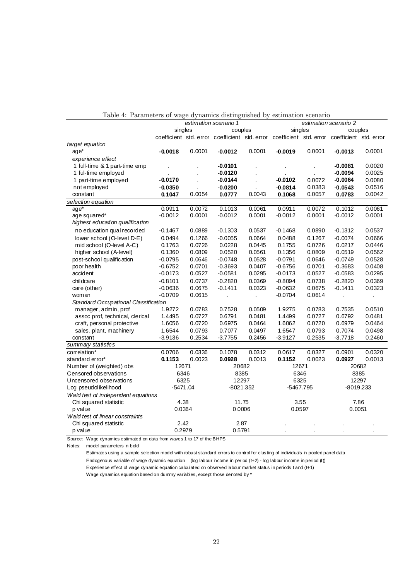|                                      | estimation scenario 1 |        |           |            | estimation scenario 2 |        |                                                                                             |        |
|--------------------------------------|-----------------------|--------|-----------|------------|-----------------------|--------|---------------------------------------------------------------------------------------------|--------|
|                                      | singles               |        | couples   |            | singles               |        | couples                                                                                     |        |
|                                      |                       |        |           |            |                       |        | coefficient std. error coefficient std. error coefficient std. error coefficient std. error |        |
| target equation                      |                       |        |           |            |                       |        |                                                                                             |        |
| $age*$                               | $-0.0018$             | 0.0001 | $-0.0012$ | 0.0001     | $-0.0019$             | 0.0001 | $-0.0013$                                                                                   | 0.0001 |
| experience effect                    |                       |        |           |            |                       |        |                                                                                             |        |
| 1 full-time & 1 part-time emp        |                       |        | $-0.0101$ |            |                       |        | $-0.0081$                                                                                   | 0.0020 |
| 1 ful-time employed                  |                       |        | $-0.0120$ |            |                       |        | $-0.0094$                                                                                   | 0.0025 |
| 1 part-time employed                 | $-0.0170$             |        | $-0.0144$ |            | $-0.0102$             | 0.0072 | $-0.0064$                                                                                   | 0.0080 |
| not employed                         | $-0.0350$             |        | $-0.0200$ |            | $-0.0814$             | 0.0383 | $-0.0543$                                                                                   | 0.0516 |
| constant                             | 0.1047                | 0.0054 | 0.0777    | 0.0043     | 0.1068                | 0.0057 | 0.0783                                                                                      | 0.0042 |
| selection equation                   |                       |        |           |            |                       |        |                                                                                             |        |
| age*                                 | 0.0911                | 0.0072 | 0.1013    | 0.0061     | 0.0911                | 0.0072 | 0.1012                                                                                      | 0.0061 |
| age squared*                         | $-0.0012$             | 0.0001 | $-0.0012$ | 0.0001     | $-0.0012$             | 0.0001 | $-0.0012$                                                                                   | 0.0001 |
| highest education qualification      |                       |        |           |            |                       |        |                                                                                             |        |
| no education qual recorded           | $-0.1467$             | 0.0889 | $-0.1303$ | 0.0537     | $-0.1468$             | 0.0890 | $-0.1312$                                                                                   | 0.0537 |
| lower school (O-level D-E)           | 0.0494                | 0.1266 | $-0.0055$ | 0.0664     | 0.0488                | 0.1267 | $-0.0074$                                                                                   | 0.0666 |
| mid school (O-level A-C)             | 0.1763                | 0.0726 | 0.0228    | 0.0445     | 0.1755                | 0.0726 | 0.0217                                                                                      | 0.0446 |
| higher school (A-level)              | 0.1360                | 0.0809 | 0.0520    | 0.0561     | 0.1356                | 0.0809 | 0.0519                                                                                      | 0.0562 |
| post-school qualification            | $-0.0795$             | 0.0646 | $-0.0748$ | 0.0528     | $-0.0791$             | 0.0646 | $-0.0749$                                                                                   | 0.0528 |
| poor health                          | $-0.6752$             | 0.0701 | $-0.3693$ | 0.0407     | $-0.6756$             | 0.0701 | $-0.3683$                                                                                   | 0.0408 |
| accident                             | $-0.0173$             | 0.0527 | $-0.0581$ | 0.0295     | $-0.0173$             | 0.0527 | $-0.0583$                                                                                   | 0.0295 |
| childcare                            | $-0.8101$             | 0.0737 | $-0.2820$ | 0.0369     | $-0.8094$             | 0.0738 | $-0.2820$                                                                                   | 0.0369 |
| care (other)                         | $-0.0636$             | 0.0675 | $-0.1411$ | 0.0323     | $-0.0632$             | 0.0675 | $-0.1411$                                                                                   | 0.0323 |
| woman                                | $-0.0709$             | 0.0615 | l,        | $\epsilon$ | $-0.0704$             | 0.0614 | $\ddot{\phantom{a}}$                                                                        |        |
| Standard Occupational Classification |                       |        |           |            |                       |        |                                                                                             |        |
| manager, admin, prof                 | 1.9272                | 0.0783 | 0.7528    | 0.0509     | 1.9275                | 0.0783 | 0.7535                                                                                      | 0.0510 |
| assoc prof, technical, clerical      | 1.4495                | 0.0727 | 0.6791    | 0.0481     | 1.4499                | 0.0727 | 0.6792                                                                                      | 0.0481 |
| craft, personal protective           | 1.6056                | 0.0720 | 0.6975    | 0.0464     | 1.6062                | 0.0720 | 0.6979                                                                                      | 0.0464 |
| sales, plant, machinery              | 1.6544                | 0.0793 | 0.7077    | 0.0497     | 1.6547                | 0.0793 | 0.7074                                                                                      | 0.0498 |
| constant                             | $-3.9136$             | 0.2534 | $-3.7755$ | 0.2456     | $-3.9127$             | 0.2535 | $-3.7718$                                                                                   | 0.2460 |
| summary statistics                   |                       |        |           |            |                       |        |                                                                                             |        |
| correlation*                         | 0.0706                | 0.0336 | 0.1078    | 0.0312     | 0.0617                | 0.0327 | 0.0901                                                                                      | 0.0320 |
| standard error*                      | 0.1153                | 0.0023 | 0.0928    | 0.0013     | 0.1152                | 0.0023 | 0.0927                                                                                      | 0.0013 |
| Number of (weighted) obs             | 12671                 |        | 20682     |            | 12671                 |        | 20682                                                                                       |        |
| Censored observations                | 6346                  |        | 8385      |            | 6346                  |        | 8385                                                                                        |        |
| Uncensored observations              | 6325                  |        | 12297     |            | 6325                  |        | 12297                                                                                       |        |
| Log pseudolikelihood                 | $-5471.04$            |        | -8021.352 |            | -5467.795             |        | -8019.233                                                                                   |        |
| Wald test of independent equations   |                       |        |           |            |                       |        |                                                                                             |        |
| Chi squared statistic                | 4.38                  |        | 11.75     |            | 3.55                  |        | 7.86                                                                                        |        |
| p value                              | 0.0364                |        | 0.0006    |            | 0.0597                |        | 0.0051                                                                                      |        |
| Wald test of linear constraints      |                       |        |           |            |                       |        |                                                                                             |        |
| Chi squared statistic                | 2.42                  |        | 2.87      |            |                       |        |                                                                                             |        |
| p value                              | 0.2979                |        | 0.5791    |            |                       |        |                                                                                             |        |

Table 4: Parameters of wage dynamics distinguished by estimation scenario

Source: Wage dynamics estimated on data from waves 1 to 17 of the BHPS

Notes: model parameters in bold

Estimates using a sample selection model with robust standard errors to control for clusting of individuals in pooled panel data Endogenous variable of wage dynamic equation = (log labour income in period (t+2) - log labour income in period (t)) Experience effect of wage dynamic equation calculated on observed labour market status in periods t and (t+1) Wage dynamics equation based on dummy variables, except those denoted by \*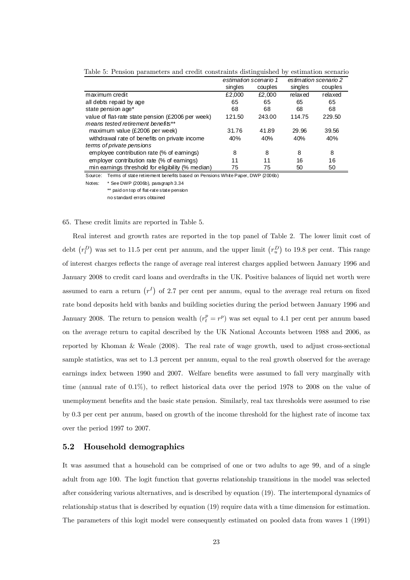|                                                   |         | estimation scenario 1 | es timation scenario 2 |         |  |
|---------------------------------------------------|---------|-----------------------|------------------------|---------|--|
|                                                   | singles | couples               | singles                | couples |  |
| maximum credit                                    | £2,000  | £2,000                | relaxed                | relaxed |  |
| all debts repaid by age                           | 65      | 65                    | 65                     | 65      |  |
| state pension age*                                | 68      | 68                    | 68                     | 68      |  |
| value of flat-rate state pension (£2006 per week) | 121.50  | 243.00                | 114.75                 | 229.50  |  |
| means tested retirement benefits**                |         |                       |                        |         |  |
| maximum value (£2006 per week)                    | 31.76   | 41.89                 | 29.96                  | 39.56   |  |
| withdrawal rate of benefits on private income     | 40%     | 40%                   | 40%                    | 40%     |  |
| terms of private pensions                         |         |                       |                        |         |  |
| employee contribution rate (% of earnings)        | 8       | 8                     | 8                      | 8       |  |
| employer contribution rate (% of earnings)        | 11      | 11                    | 16                     | 16      |  |
| min earnings threshold for eligibility (% median) | 75      | 75                    | 50                     | 50      |  |

Table 5: Pension parameters and credit constraints distinguished by estimation scenario

Source: Terms of state retirement benefits based on Pensions White Paper, DWP (2006b)

Notes: \* See DWP (2006b), paragraph 3.34 \*\* paid on top of flat-rate state pension

no standard errors obtained

#### 65. These credit limits are reported in Table 5.

Real interest and growth rates are reported in the top panel of Table 2. The lower limit cost of debt  $(r_l^D)$  was set to 11.5 per cent per annum, and the upper limit  $(r_u^D)$  to 19.8 per cent. This range of interest charges reflects the range of average real interest charges applied between January 1996 and January 2008 to credit card loans and overdrafts in the UK. Positive balances of liquid net worth were assumed to earn a return  $(r<sup>I</sup>)$  of 2.7 per cent per annum, equal to the average real return on fixed rate bond deposits held with banks and building societies during the period between January 1996 and January 2008. The return to pension wealth  $(r_t^p = r^p)$  was set equal to 4.1 per cent per annum based on the average return to capital described by the UK National Accounts between 1988 and 2006, as reported by Khoman & Weale (2008). The real rate of wage growth, used to adjust cross-sectional sample statistics, was set to 1.3 percent per annum, equal to the real growth observed for the average earnings index between 1990 and 2007. Welfare benefits were assumed to fall very marginally with time (annual rate of 0.1%), to reflect historical data over the period 1978 to 2008 on the value of unemployment benefits and the basic state pension. Similarly, real tax thresholds were assumed to rise by 0.3 per cent per annum, based on growth of the income threshold for the highest rate of income tax over the period 1997 to 2007.

#### 5.2 Household demographics

It was assumed that a household can be comprised of one or two adults to age 99, and of a single adult from age 100. The logit function that governs relationship transitions in the model was selected after considering various alternatives, and is described by equation (19). The intertemporal dynamics of relationship status that is described by equation (19) require data with a time dimension for estimation. The parameters of this logit model were consequently estimated on pooled data from waves 1 (1991)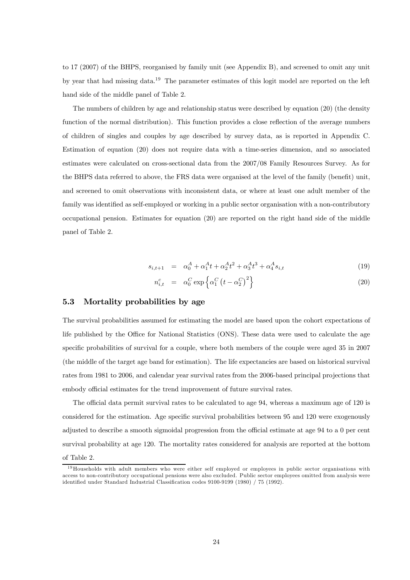to 17 (2007) of the BHPS, reorganised by family unit (see Appendix B), and screened to omit any unit by year that had missing data.19 The parameter estimates of this logit model are reported on the left hand side of the middle panel of Table 2.

The numbers of children by age and relationship status were described by equation (20) (the density function of the normal distribution). This function provides a close reflection of the average numbers of children of singles and couples by age described by survey data, as is reported in Appendix C. Estimation of equation (20) does not require data with a time-series dimension, and so associated estimates were calculated on cross-sectional data from the 2007/08 Family Resources Survey. As for the BHPS data referred to above, the FRS data were organised at the level of the family (benefit) unit, and screened to omit observations with inconsistent data, or where at least one adult member of the family was identified as self-employed or working in a public sector organisation with a non-contributory occupational pension. Estimates for equation (20) are reported on the right hand side of the middle panel of Table 2.

$$
s_{i,t+1} = \alpha_0^A + \alpha_1^A t + \alpha_2^A t^2 + \alpha_3^A t^3 + \alpha_4^A s_{i,t}
$$
\n(19)

$$
n_{i,t}^c = \alpha_0^C \exp\left\{\alpha_1^C \left(t - \alpha_2^C\right)^2\right\} \tag{20}
$$

#### 5.3 Mortality probabilities by age

The survival probabilities assumed for estimating the model are based upon the cohort expectations of life published by the Office for National Statistics (ONS). These data were used to calculate the age specific probabilities of survival for a couple, where both members of the couple were aged 35 in 2007 (the middle of the target age band for estimation). The life expectancies are based on historical survival rates from 1981 to 2006, and calendar year survival rates from the 2006-based principal projections that embody official estimates for the trend improvement of future survival rates.

The official data permit survival rates to be calculated to age 94, whereas a maximum age of 120 is considered for the estimation. Age specific survival probabilities between 95 and 120 were exogenously adjusted to describe a smooth sigmoidal progression from the official estimate at age 94 to a 0 per cent survival probability at age 120. The mortality rates considered for analysis are reported at the bottom of Table 2.

 $19$  Households with adult members who were either self employed or employees in public sector organisations with access to non-contributory occupational pensions were also excluded. Public sector employees omitted from analysis were identified under Standard Industrial Classification codes 9100-9199 (1980) / 75 (1992).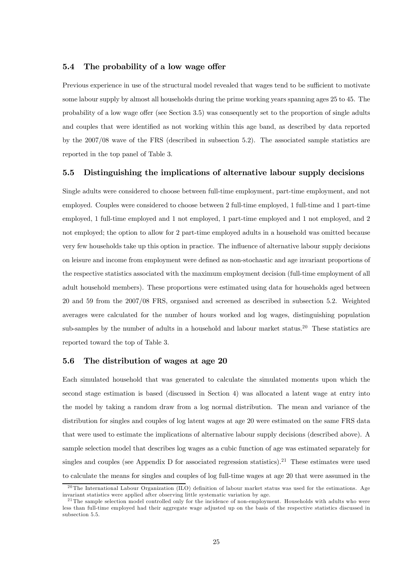#### 5.4 The probability of a low wage offer

Previous experience in use of the structural model revealed that wages tend to be sufficient to motivate some labour supply by almost all households during the prime working years spanning ages 25 to 45. The probability of a low wage offer (see Section 3.5) was consequently set to the proportion of single adults and couples that were identified as not working within this age band, as described by data reported by the 2007/08 wave of the FRS (described in subsection 5.2). The associated sample statistics are reported in the top panel of Table 3.

#### 5.5 Distinguishing the implications of alternative labour supply decisions

Single adults were considered to choose between full-time employment, part-time employment, and not employed. Couples were considered to choose between 2 full-time employed, 1 full-time and 1 part-time employed, 1 full-time employed and 1 not employed, 1 part-time employed and 1 not employed, and 2 not employed; the option to allow for 2 part-time employed adults in a household was omitted because very few households take up this option in practice. The influence of alternative labour supply decisions on leisure and income from employment were defined as non-stochastic and age invariant proportions of the respective statistics associated with the maximum employment decision (full-time employment of all adult household members). These proportions were estimated using data for households aged between 20 and 59 from the 2007/08 FRS, organised and screened as described in subsection 5.2. Weighted averages were calculated for the number of hours worked and log wages, distinguishing population sub-samples by the number of adults in a household and labour market status.<sup>20</sup> These statistics are reported toward the top of Table 3.

#### 5.6 The distribution of wages at age 20

Each simulated household that was generated to calculate the simulated moments upon which the second stage estimation is based (discussed in Section 4) was allocated a latent wage at entry into the model by taking a random draw from a log normal distribution. The mean and variance of the distribution for singles and couples of log latent wages at age 20 were estimated on the same FRS data that were used to estimate the implications of alternative labour supply decisions (described above). A sample selection model that describes log wages as a cubic function of age was estimated separately for singles and couples (see Appendix D for associated regression statistics).<sup>21</sup> These estimates were used to calculate the means for singles and couples of log full-time wages at age 20 that were assumed in the

 $20$ The International Labour Organization (ILO) definition of labour market status was used for the estimations. Age invariant statistics were applied after observing little systematic variation by age.

 $^{21}$ The sample selection model controlled only for the incidence of non-employment. Households with adults who were less than full-time employed had their aggregate wage adjusted up on the basis of the respective statistics discussed in subsection 5.5.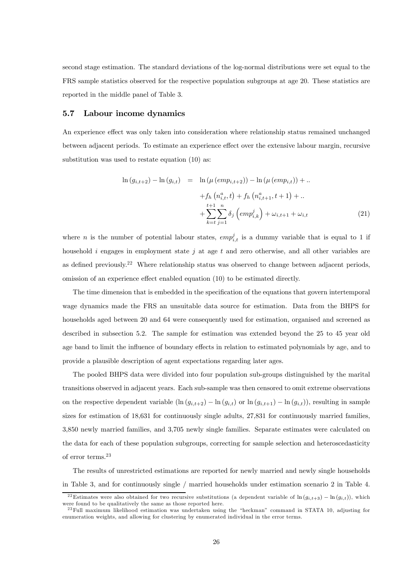second stage estimation. The standard deviations of the log-normal distributions were set equal to the FRS sample statistics observed for the respective population subgroups at age 20. These statistics are reported in the middle panel of Table 3.

#### 5.7 Labour income dynamics

An experience effect was only taken into consideration where relationship status remained unchanged between adjacent periods. To estimate an experience effect over the extensive labour margin, recursive substitution was used to restate equation (10) as:

$$
\ln (g_{i,t+2}) - \ln (g_{i,t}) = \ln (\mu (emp_{i,t+2})) - \ln (\mu (emp_{i,t})) + ..
$$
  
+  $f_h (n_{i,t}^a, t) + f_h (n_{i,t+1}^a, t+1) + ..$   
+  $\sum_{k=t}^{t+1} \sum_{j=1}^n \delta_j (emp_{i,k}^j) + \omega_{i,t+1} + \omega_{i,t}$  (21)

where *n* is the number of potential labour states,  $empi_{i,t}^j$  is a dummy variable that is equal to 1 if household i engages in employment state j at age t and zero otherwise, and all other variables are as defined previously.<sup>22</sup> Where relationship status was observed to change between adjacent periods, omission of an experience effect enabled equation (10) to be estimated directly.

The time dimension that is embedded in the specification of the equations that govern intertemporal wage dynamics made the FRS an unsuitable data source for estimation. Data from the BHPS for households aged between 20 and 64 were consequently used for estimation, organised and screened as described in subsection 5.2. The sample for estimation was extended beyond the 25 to 45 year old age band to limit the influence of boundary effects in relation to estimated polynomials by age, and to provide a plausible description of agent expectations regarding later ages.

The pooled BHPS data were divided into four population sub-groups distinguished by the marital transitions observed in adjacent years. Each sub-sample was then censored to omit extreme observations on the respective dependent variable  $(\ln (g_{i,t+2}) - \ln (g_{i,t}))$  or  $\ln (g_{i,t+1}) - \ln (g_{i,t})$ , resulting in sample sizes for estimation of 18,631 for continuously single adults, 27,831 for continuously married families, 3,850 newly married families, and 3,705 newly single families. Separate estimates were calculated on the data for each of these population subgroups, correcting for sample selection and heteroscedasticity of error terms.<sup>23</sup>

The results of unrestricted estimations are reported for newly married and newly single households in Table 3, and for continuously single / married households under estimation scenario 2 in Table 4.

<sup>&</sup>lt;sup>22</sup>Estimates were also obtained for two recursive substitutions (a dependent variable of ln  $(g_{i,t+3})$  – ln  $(g_{i,t})$ ), which were found to be qualitatively the same as those reported here.

<sup>&</sup>lt;sup>23</sup>Full maximum likelihood estimation was undertaken using the "heckman" command in STATA 10, adjusting for enumeration weights, and allowing for clustering by enumerated individual in the error terms.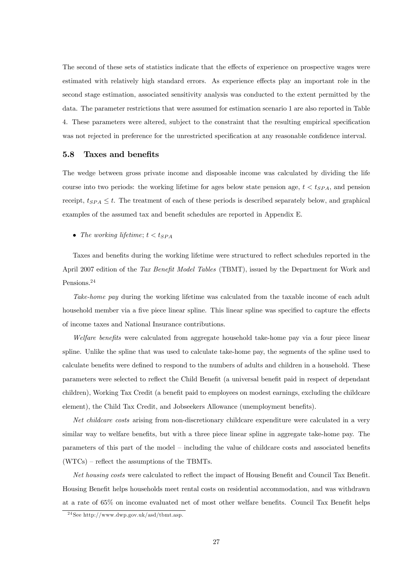The second of these sets of statistics indicate that the effects of experience on prospective wages were estimated with relatively high standard errors. As experience effects play an important role in the second stage estimation, associated sensitivity analysis was conducted to the extent permitted by the data. The parameter restrictions that were assumed for estimation scenario 1 are also reported in Table 4. These parameters were altered, subject to the constraint that the resulting empirical specification was not rejected in preference for the unrestricted specification at any reasonable confidence interval.

#### 5.8 Taxes and benefits

The wedge between gross private income and disposable income was calculated by dividing the life course into two periods: the working lifetime for ages below state pension age,  $t < t_{SPA}$ , and pension receipt,  $t_{SPA} \leq t$ . The treatment of each of these periods is described separately below, and graphical examples of the assumed tax and benefit schedules are reported in Appendix E.

• The working lifetime;  $t < t_{SPA}$ 

Taxes and benefits during the working lifetime were structured to reflect schedules reported in the April 2007 edition of the Tax Benefit Model Tables (TBMT), issued by the Department for Work and Pensions.24

Take-home pay during the working lifetime was calculated from the taxable income of each adult household member via a five piece linear spline. This linear spline was specified to capture the effects of income taxes and National Insurance contributions.

Welfare benefits were calculated from aggregate household take-home pay via a four piece linear spline. Unlike the spline that was used to calculate take-home pay, the segments of the spline used to calculate benefits were defined to respond to the numbers of adults and children in a household. These parameters were selected to reflect the Child Benefit (a universal benefit paid in respect of dependant children), Working Tax Credit (a benefit paid to employees on modest earnings, excluding the childcare element), the Child Tax Credit, and Jobseekers Allowance (unemployment benefits).

Net childcare costs arising from non-discretionary childcare expenditure were calculated in a very similar way to welfare benefits, but with a three piece linear spline in aggregate take-home pay. The parameters of this part of the model — including the value of childcare costs and associated benefits (WTCs) — reflect the assumptions of the TBMTs.

Net housing costs were calculated to reflect the impact of Housing Benefit and Council Tax Benefit. Housing Benefit helps households meet rental costs on residential accommodation, and was withdrawn at a rate of 65% on income evaluated net of most other welfare benefits. Council Tax Benefit helps

 $24$  See http://www.dwp.gov.uk/asd/tbmt.asp.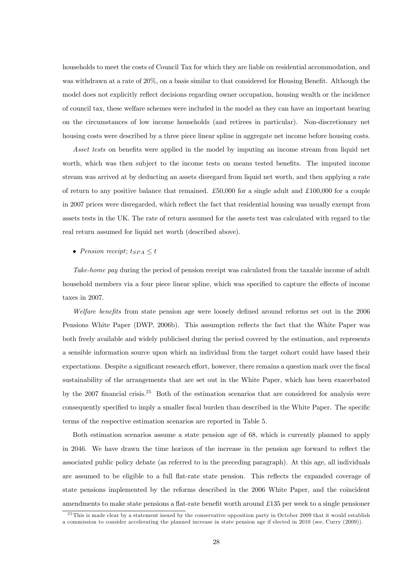households to meet the costs of Council Tax for which they are liable on residential accommodation, and was withdrawn at a rate of 20%, on a basis similar to that considered for Housing Benefit. Although the model does not explicitly reflect decisions regarding owner occupation, housing wealth or the incidence of council tax, these welfare schemes were included in the model as they can have an important bearing on the circumstances of low income households (and retirees in particular). Non-discretionary net housing costs were described by a three piece linear spline in aggregate net income before housing costs.

Asset tests on benefits were applied in the model by imputing an income stream from liquid net worth, which was then subject to the income tests on means tested benefits. The imputed income stream was arrived at by deducting an assets disregard from liquid net worth, and then applying a rate of return to any positive balance that remained. £50,000 for a single adult and £100,000 for a couple in 2007 prices were disregarded, which reflect the fact that residential housing was usually exempt from assets tests in the UK. The rate of return assumed for the assets test was calculated with regard to the real return assumed for liquid net worth (described above).

#### • Pension receipt;  $t_{SPA} \leq t$

Take-home pay during the period of pension receipt was calculated from the taxable income of adult household members via a four piece linear spline, which was specified to capture the effects of income taxes in 2007.

Welfare benefits from state pension age were loosely defined around reforms set out in the 2006 Pensions White Paper (DWP, 2006b). This assumption reflects the fact that the White Paper was both freely available and widely publicised during the period covered by the estimation, and represents a sensible information source upon which an individual from the target cohort could have based their expectations. Despite a significant research effort, however, there remains a question mark over the fiscal sustainability of the arrangements that are set out in the White Paper, which has been exacerbated by the 2007 financial crisis.<sup>25</sup> Both of the estimation scenarios that are considered for analysis were consequently specified to imply a smaller fiscal burden than described in the White Paper. The specific terms of the respective estimation scenarios are reported in Table 5.

Both estimation scenarios assume a state pension age of 68, which is currently planned to apply in 2046. We have drawn the time horizon of the increase in the pension age forward to reflect the associated public policy debate (as referred to in the preceding paragraph). At this age, all individuals are assumed to be eligible to a full flat-rate state pension. This reflects the expanded coverage of state pensions implemented by the reforms described in the 2006 White Paper, and the coincident amendments to make state pensions a flat-rate benefit worth around £135 per week to a single pensioner

 $25$ This is made clear by a statement issued by the conservative opposition party in October 2009 that it would establish a commission to consider accelerating the planned increase in state pension age if elected in 2010 (see, Curry (2009)).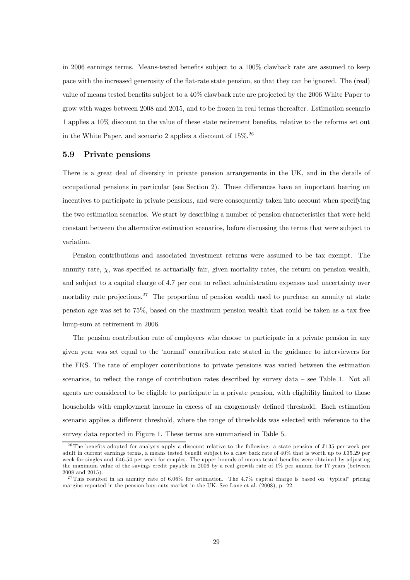in 2006 earnings terms. Means-tested benefits subject to a 100% clawback rate are assumed to keep pace with the increased generosity of the flat-rate state pension, so that they can be ignored. The (real) value of means tested benefits subject to a 40% clawback rate are projected by the 2006 White Paper to grow with wages between 2008 and 2015, and to be frozen in real terms thereafter. Estimation scenario 1 applies a 10% discount to the value of these state retirement benefits, relative to the reforms set out in the White Paper, and scenario 2 applies a discount of  $15\%$ <sup>26</sup>

#### 5.9 Private pensions

There is a great deal of diversity in private pension arrangements in the UK, and in the details of occupational pensions in particular (see Section 2). These differences have an important bearing on incentives to participate in private pensions, and were consequently taken into account when specifying the two estimation scenarios. We start by describing a number of pension characteristics that were held constant between the alternative estimation scenarios, before discussing the terms that were subject to variation.

Pension contributions and associated investment returns were assumed to be tax exempt. The annuity rate,  $\chi$ , was specified as actuarially fair, given mortality rates, the return on pension wealth, and subject to a capital charge of 4.7 per cent to reflect administration expenses and uncertainty over mortality rate projections.<sup>27</sup> The proportion of pension wealth used to purchase an annuity at state pension age was set to 75%, based on the maximum pension wealth that could be taken as a tax free lump-sum at retirement in 2006.

The pension contribution rate of employees who choose to participate in a private pension in any given year was set equal to the 'normal' contribution rate stated in the guidance to interviewers for the FRS. The rate of employer contributions to private pensions was varied between the estimation scenarios, to reflect the range of contribution rates described by survey data — see Table 1. Not all agents are considered to be eligible to participate in a private pension, with eligibility limited to those households with employment income in excess of an exogenously defined threshold. Each estimation scenario applies a different threshold, where the range of thresholds was selected with reference to the survey data reported in Figure 1. These terms are summarised in Table 5.

<sup>&</sup>lt;sup>26</sup>The benefits adopted for analysis apply a discount relative to the following: a state pension of £135 per week per adult in current earnings terms, a means tested benefit subject to a claw back rate of 40% that is worth up to £35.29 per week for singles and £46.54 per week for couples. The upper bounds of means tested benefits were obtained by adjusting the maximum value of the savings credit payable in 2006 by a real growth rate of 1% per annum for 17 years (between 2008 and 2015).

 $27$ This resulted in an annuity rate of 6.06% for estimation. The 4.7% capital charge is based on "typical" pricing margins reported in the pension buy-outs market in the UK. See Lane et al. (2008), p. 22.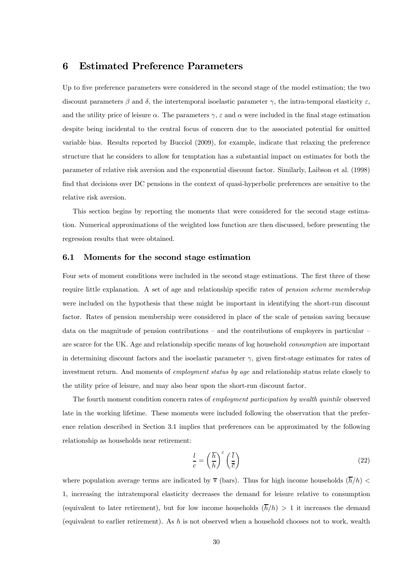## 6 Estimated Preference Parameters

Up to five preference parameters were considered in the second stage of the model estimation; the two discount parameters  $\beta$  and  $\delta$ , the intertemporal isoelastic parameter  $\gamma$ , the intra-temporal elasticity  $\varepsilon$ , and the utility price of leisure  $\alpha$ . The parameters  $\gamma$ ,  $\varepsilon$  and  $\alpha$  were included in the final stage estimation despite being incidental to the central focus of concern due to the associated potential for omitted variable bias. Results reported by Bucciol (2009), for example, indicate that relaxing the preference structure that he considers to allow for temptation has a substantial impact on estimates for both the parameter of relative risk aversion and the exponential discount factor. Similarly, Laibson et al. (1998) find that decisions over DC pensions in the context of quasi-hyperbolic preferences are sensitive to the relative risk aversion.

This section begins by reporting the moments that were considered for the second stage estimation. Numerical approximations of the weighted loss function are then discussed, before presenting the regression results that were obtained.

#### 6.1 Moments for the second stage estimation

Four sets of moment conditions were included in the second stage estimations. The first three of these require little explanation. A set of age and relationship specific rates of *pension scheme membership* were included on the hypothesis that these might be important in identifying the short-run discount factor. Rates of pension membership were considered in place of the scale of pension saving because data on the magnitude of pension contributions – and the contributions of employers in particular  $$ are scarce for the UK. Age and relationship specific means of log household consumption are important in determining discount factors and the isoelastic parameter  $\gamma$ , given first-stage estimates for rates of investment return. And moments of *employment status by age* and relationship status relate closely to the utility price of leisure, and may also bear upon the short-run discount factor.

The fourth moment condition concern rates of employment participation by wealth quintile observed late in the working lifetime. These moments were included following the observation that the preference relation described in Section 3.1 implies that preferences can be approximated by the following relationship as households near retirement:

$$
\frac{l}{c} = \left(\frac{\overline{h}}{h}\right)^{\varepsilon} \left(\frac{\overline{l}}{c}\right)
$$
\n(22)

where population average terms are indicated by  $\bar{*}$  (bars). Thus for high income households  $(\bar{h}/h)$  < 1, increasing the intratemporal elasticity decreases the demand for leisure relative to consumption (equivalent to later retirement), but for low income households  $(\overline{h}/h) > 1$  it increases the demand (equivalent to earlier retirement). As h is not observed when a household chooses not to work, wealth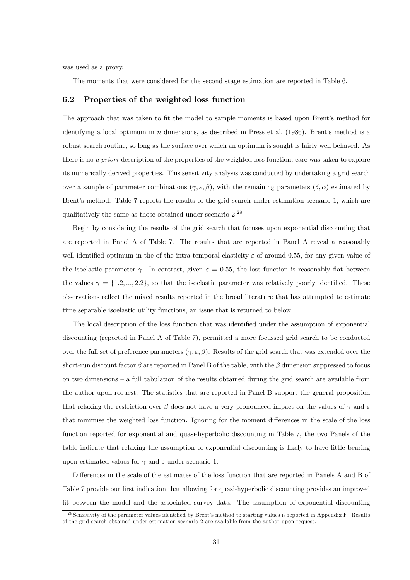was used as a proxy.

The moments that were considered for the second stage estimation are reported in Table 6.

#### 6.2 Properties of the weighted loss function

The approach that was taken to fit the model to sample moments is based upon Brent's method for identifying a local optimum in  $n$  dimensions, as described in Press et al. (1986). Brent's method is a robust search routine, so long as the surface over which an optimum is sought is fairly well behaved. As there is no a priori description of the properties of the weighted loss function, care was taken to explore its numerically derived properties. This sensitivity analysis was conducted by undertaking a grid search over a sample of parameter combinations  $(\gamma, \varepsilon, \beta)$ , with the remaining parameters  $(\delta, \alpha)$  estimated by Brent's method. Table 7 reports the results of the grid search under estimation scenario 1, which are qualitatively the same as those obtained under scenario 2.<sup>28</sup>

Begin by considering the results of the grid search that focuses upon exponential discounting that are reported in Panel A of Table 7. The results that are reported in Panel A reveal a reasonably well identified optimum in the of the intra-temporal elasticity  $\varepsilon$  of around 0.55, for any given value of the isoelastic parameter  $\gamma$ . In contrast, given  $\varepsilon = 0.55$ , the loss function is reasonably flat between the values  $\gamma = \{1.2, ..., 2.2\}$ , so that the isoelastic parameter was relatively poorly identified. These observations reflect the mixed results reported in the broad literature that has attempted to estimate time separable isoelastic utility functions, an issue that is returned to below.

The local description of the loss function that was identified under the assumption of exponential discounting (reported in Panel A of Table 7), permitted a more focussed grid search to be conducted over the full set of preference parameters  $(\gamma, \varepsilon, \beta)$ . Results of the grid search that was extended over the short-run discount factor  $\beta$  are reported in Panel B of the table, with the  $\beta$  dimension suppressed to focus on two dimensions — a full tabulation of the results obtained during the grid search are available from the author upon request. The statistics that are reported in Panel B support the general proposition that relaxing the restriction over  $\beta$  does not have a very pronounced impact on the values of  $\gamma$  and  $\varepsilon$ that minimise the weighted loss function. Ignoring for the moment differences in the scale of the loss function reported for exponential and quasi-hyperbolic discounting in Table 7, the two Panels of the table indicate that relaxing the assumption of exponential discounting is likely to have little bearing upon estimated values for  $\gamma$  and  $\varepsilon$  under scenario 1.

Differences in the scale of the estimates of the loss function that are reported in Panels A and B of Table 7 provide our first indication that allowing for quasi-hyperbolic discounting provides an improved fit between the model and the associated survey data. The assumption of exponential discounting

<sup>&</sup>lt;sup>28</sup> Sensitivity of the parameter values identified by Brent's method to starting values is reported in Appendix F. Results of the grid search obtained under estimation scenario 2 are available from the author upon request.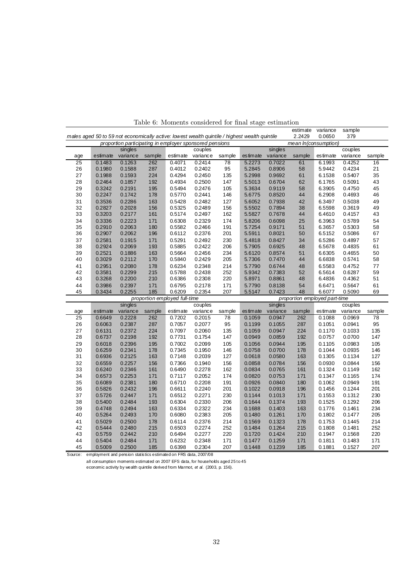|     |                                                                                               |          |        |                               |                                                         |        |          |          | estimate | variance                      | sample   |        |
|-----|-----------------------------------------------------------------------------------------------|----------|--------|-------------------------------|---------------------------------------------------------|--------|----------|----------|----------|-------------------------------|----------|--------|
|     | males aged 50 to 59 not economically active: lowest wealth quintile / highest wealth quintile |          |        |                               |                                                         |        |          |          | 2.2429   | 0.0650                        | 379      |        |
|     |                                                                                               |          |        |                               | proportion participating in employer sponsored pensions |        |          |          |          | mean In(consumption)          |          |        |
|     |                                                                                               | singles  |        |                               | couples                                                 |        |          | singles  |          |                               | couples  |        |
| age | estimate                                                                                      | variance | sample | estimate                      | variance                                                | sample | estimate | variance | sample   | estimate                      | variance | sample |
| 25  | 0.1483                                                                                        | 0.1263   | 262    | 0.4071                        | 0.2414                                                  | 78     | 5.2273   | 0.7022   | 61       | 6.1993                        | 0.4252   | 16     |
| 26  | 0.1980                                                                                        | 0.1588   | 287    | 0.4012                        | 0.2402                                                  | 95     | 5.2845   | 0.8906   | 58       | 5.9442                        | 0.4234   | 21     |
| 27  | 0.1988                                                                                        | 0.1593   | 224    | 0.4294                        | 0.2450                                                  | 135    | 5.2998   | 0.9692   | 61       | 6.1538                        | 0.5407   | 35     |
| 28  | 0.2464                                                                                        | 0.1857   | 192    | 0.4934                        | 0.2500                                                  | 147    | 5.5013   | 0.6704   | 62       | 6.1765                        | 0.5091   | 43     |
| 29  | 0.3242                                                                                        | 0.2191   | 195    | 0.5494                        | 0.2476                                                  | 105    | 5.3634   | 0.9119   | 58       | 6.3905                        | 0.4750   | 45     |
| 30  | 0.2247                                                                                        | 0.1742   | 178    | 0.5770                        | 0.2441                                                  | 146    | 5.6775   | 0.8520   | 44       | 6.2908                        | 0.4693   | 46     |
| 31  | 0.3536                                                                                        | 0.2286   | 163    | 0.5428                        | 0.2482                                                  | 127    | 5.6052   | 0.7938   | 42       | 6.3497                        | 0.5038   | 49     |
| 32  | 0.2827                                                                                        | 0.2028   | 156    | 0.5325                        | 0.2489                                                  | 156    | 5.5502   | 0.7894   | 38       | 6.5598                        | 0.3619   | 49     |
| 33  | 0.3203                                                                                        | 0.2177   | 161    | 0.5174                        | 0.2497                                                  | 162    | 5.5827   | 0.7678   | 44       | 6.4610                        | 0.4157   | 43     |
| 34  | 0.3336                                                                                        | 0.2223   | 171    | 0.6308                        | 0.2329                                                  | 174    | 5.8206   | 0.6098   | 25       | 6.3963                        | 0.5789   | 54     |
| 35  | 0.2910                                                                                        | 0.2063   | 180    | 0.5582                        | 0.2466                                                  | 191    | 5.7254   | 0.9171   | 51       | 6.3657                        | 0.5303   | 58     |
| 36  | 0.2907                                                                                        | 0.2062   | 196    | 0.6112                        | 0.2376                                                  | 201    | 5.5911   | 0.8021   | 50       | 6.5152                        | 0.5086   | 67     |
| 37  | 0.2581                                                                                        | 0.1915   | 171    | 0.5291                        | 0.2492                                                  | 230    | 5.4818   | 0.8427   | 34       | 6.5286                        | 0.4897   | 57     |
| 38  | 0.2924                                                                                        | 0.2069   | 193    | 0.5885                        | 0.2422                                                  | 206    | 5.7905   | 0.6925   | 48       | 6.5678                        | 0.4835   | 61     |
| 39  | 0.2521                                                                                        | 0.1886   | 163    | 0.5664                        | 0.2456                                                  | 234    | 5.6120   | 0.8574   | 51       | 6.6305                        | 0.4655   | 50     |
| 40  | 0.3029                                                                                        | 0.2112   | 170    | 0.5840                        | 0.2429                                                  | 205    | 5.7306   | 0.7470   | 44       | 6.6838                        | 0.5741   | 58     |
| 41  | 0.2951                                                                                        | 0.2080   | 178    | 0.6234                        | 0.2348                                                  | 214    | 5.7790   | 0.6744   | 48       | 6.5583                        | 0.4752   | 77     |
| 42  | 0.3581                                                                                        | 0.2299   | 215    | 0.5788                        | 0.2438                                                  | 252    | 5.9342   | 0.7383   | 52       | 6.5614                        | 0.6287   | 59     |
| 43  | 0.3268                                                                                        | 0.2200   | 210    | 0.6386                        | 0.2308                                                  | 220    | 5.8971   | 0.8861   | 48       | 6.4836                        | 0.4362   | 51     |
| 44  | 0.3986                                                                                        | 0.2397   | 171    | 0.6795                        | 0.2178                                                  | 171    | 5.7790   | 0.8138   | 54       | 6.6471                        | 0.5647   | 61     |
| 45  | 0.3434                                                                                        | 0.2255   | 185    | 0.6209                        | 0.2354                                                  | 207    | 5.5147   | 0.7423   | 48       | 6.6077                        | 0.5090   | 69     |
|     |                                                                                               |          |        | proportion employed full-time |                                                         |        |          |          |          | proportion employed part-time |          |        |
|     |                                                                                               | singles  |        |                               | couples                                                 |        |          | singles  |          |                               | couples  |        |
| age | estimate                                                                                      | variance | sample | estimate                      | variance                                                | sample | estimate | variance | sample   | estimate                      | variance | sample |
| 25  | 0.6649                                                                                        | 0.2228   | 262    | 0.7202                        | 0.2015                                                  | 78     | 0.1059   | 0.0947   | 262      | 0.1088                        | 0.0969   | 78     |
| 26  | 0.6063                                                                                        | 0.2387   | 287    | 0.7057                        | 0.2077                                                  | 95     | 0.1199   | 0.1055   | 287      | 0.1051                        | 0.0941   | 95     |
| 27  | 0.6131                                                                                        | 0.2372   | 224    | 0.7097                        | 0.2060                                                  | 135    | 0.1059   | 0.0947   | 224      | 0.1170                        | 0.1033   | 135    |
| 28  | 0.6737                                                                                        | 0.2198   | 192    | 0.7731                        | 0.1754                                                  | 147    | 0.0949   | 0.0859   | 192      | 0.0757                        | 0.0700   | 147    |
| 29  | 0.6018                                                                                        | 0.2396   | 195    | 0.7002                        | 0.2099                                                  | 105    | 0.1056   | 0.0944   | 195      | 0.1105                        | 0.0983   | 105    |
| 30  | 0.6259                                                                                        | 0.2341   | 178    | 0.7345                        | 0.1950                                                  | 146    | 0.0758   | 0.0700   | 178      | 0.1044                        | 0.0935   | 146    |
| 31  | 0.6936                                                                                        | 0.2125   | 163    | 0.7148                        | 0.2039                                                  | 127    | 0.0618   | 0.0580   | 163      | 0.1305                        | 0.1134   | 127    |
| 32  | 0.6559                                                                                        | 0.2257   | 156    | 0.7366                        | 0.1940                                                  | 156    | 0.0858   | 0.0784   | 156      | 0.0930                        | 0.0844   | 156    |
| 33  | 0.6240                                                                                        | 0.2346   | 161    | 0.6490                        | 0.2278                                                  | 162    | 0.0834   | 0.0765   | 161      | 0.1324                        | 0.1149   | 162    |
| 34  | 0.6573                                                                                        | 0.2253   | 171    | 0.7117                        | 0.2052                                                  | 174    | 0.0820   | 0.0753   | 171      | 0.1347                        | 0.1165   | 174    |
| 35  | 0.6089                                                                                        | 0.2381   | 180    | 0.6710                        | 0.2208                                                  | 191    | 0.0926   | 0.0840   | 180      | 0.1062                        | 0.0949   | 191    |
| 36  | 0.5826                                                                                        | 0.2432   | 196    | 0.6611                        | 0.2240                                                  | 201    | 0.1022   | 0.0918   | 196      | 0.1456                        | 0.1244   | 201    |
| 37  | 0.5726                                                                                        | 0.2447   | 171    | 0.6512                        | 0.2271                                                  | 230    | 0.1144   | 0.1013   | 171      | 0.1553                        | 0.1312   | 230    |
| 38  | 0.5400                                                                                        | 0.2484   | 193    | 0.6304                        | 0.2330                                                  | 206    | 0.1644   | 0.1374   | 193      | 0.1525                        | 0.1292   | 206    |
| 39  | 0.4748                                                                                        | 0.2494   | 163    | 0.6334                        | 0.2322                                                  | 234    | 0.1688   | 0.1403   | 163      | 0.1776                        | 0.1461   | 234    |
| 40  | 0.5264                                                                                        | 0.2493   | 170    | 0.6080                        | 0.2383                                                  | 205    | 0.1480   | 0.1261   | 170      | 0.1802                        | 0.1477   | 205    |
| 41  | 0.5029                                                                                        | 0.2500   | 178    | 0.6114                        | 0.2376                                                  | 214    | 0.1569   | 0.1323   | 178      | 0.1753                        | 0.1445   | 214    |
| 42  | 0.5444                                                                                        | 0.2480   | 215    | 0.6503                        | 0.2274                                                  | 252    | 0.1484   | 0.1264   | 215      | 0.1808                        | 0.1481   | 252    |
| 43  | 0.5759                                                                                        | 0.2442   | 210    | 0.6494                        | 0.2277                                                  | 220    | 0.1720   | 0.1424   | 210      | 0.1947                        | 0.1568   | 220    |
| 44  | 0.5404                                                                                        | 0.2484   | 171    | 0.6232                        | 0.2348                                                  | 171    | 0.1477   | 0.1259   | 171      | 0.1811                        | 0.1483   | 171    |
| 45  | 0.5009                                                                                        | 0.2500   | 185    | 0.6398                        | 0.2304                                                  | 207    | 0.1448   | 0.1239   | 185      | 0.1881                        | 0.1527   | 207    |

Table 6: Moments considered for final stage estimation

Source: employment and pension statistics estimated on FRS data, 2007/08

all consumption moments estimated on 2007 EFS data, for households aged 25 to 45

economic activity by wealth quintile derived from Marmot, *et al.* (2003, p. 156).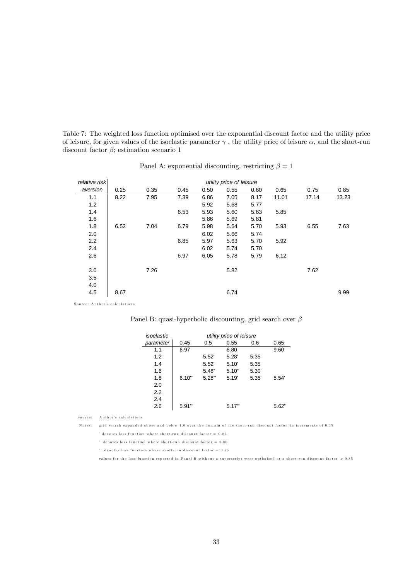Table 7: The weighted loss function optimised over the exponential discount factor and the utility price of leisure, for given values of the isoelastic parameter  $\gamma$ , the utility price of leisure  $\alpha$ , and the short-run discount factor  $\beta$ ; estimation scenario 1

| relative risk |      | utility price of leisure |      |      |      |      |       |       |       |
|---------------|------|--------------------------|------|------|------|------|-------|-------|-------|
| aversion      | 0.25 | 0.35                     | 0.45 | 0.50 | 0.55 | 0.60 | 0.65  | 0.75  | 0.85  |
| 1.1           | 8.22 | 7.95                     | 7.39 | 6.86 | 7.05 | 8.17 | 11.01 | 17.14 | 13.23 |
| 1.2           |      |                          |      | 5.92 | 5.68 | 5.77 |       |       |       |
| 1.4           |      |                          | 6.53 | 5.93 | 5.60 | 5.63 | 5.85  |       |       |
| 1.6           |      |                          |      | 5.86 | 5.69 | 5.81 |       |       |       |
| 1.8           | 6.52 | 7.04                     | 6.79 | 5.98 | 5.64 | 5.70 | 5.93  | 6.55  | 7.63  |
| 2.0           |      |                          |      | 6.02 | 5.66 | 5.74 |       |       |       |
| 2.2           |      |                          | 6.85 | 5.97 | 5.63 | 5.70 | 5.92  |       |       |
| 2.4           |      |                          |      | 6.02 | 5.74 | 5.70 |       |       |       |
| 2.6           |      |                          | 6.97 | 6.05 | 5.78 | 5.79 | 6.12  |       |       |
|               |      |                          |      |      |      |      |       |       |       |
| 3.0           |      | 7.26                     |      |      | 5.82 |      |       | 7.62  |       |
| 3.5           |      |                          |      |      |      |      |       |       |       |
| 4.0           |      |                          |      |      |      |      |       |       |       |
| 4.5           | 8.67 |                          |      |      | 6.74 |      |       |       | 9.99  |

Source: Author's calculations

| Panel B: quasi-hyperbolic discounting, grid search over $\beta$ |  |  |  |  |  |
|-----------------------------------------------------------------|--|--|--|--|--|
|-----------------------------------------------------------------|--|--|--|--|--|

| isoelastic | utility price of leisure |          |       |       |       |  |  |  |
|------------|--------------------------|----------|-------|-------|-------|--|--|--|
| parameter  | 0.45                     | 0.5      | 0.55  | 0.6   | 0.65  |  |  |  |
| 1.1        | 6.97                     |          | 6.80  |       | 9.60  |  |  |  |
| 1.2        |                          | 5.52'    | 5.28' | 5.35' |       |  |  |  |
| 1.4        |                          | 5.52'    | 5.10' | 5.35  |       |  |  |  |
| 1.6        |                          | 5.48"    | 5.10" | 5.30' |       |  |  |  |
| 1.8        | 6.10"                    | $5.28$ " | 5.19' | 5.35' | 5.54' |  |  |  |
| 2.0        |                          |          |       |       |       |  |  |  |
| 2.2        |                          |          |       |       |       |  |  |  |
| 2.4        |                          |          |       |       |       |  |  |  |
| 2.6        | $5.91$ "                 |          | 5.17" |       | 5.62" |  |  |  |

Source: A uthor's calculations

Notes: grid search expanded above and below 1.0 over the domain of the short-run discount factor, in increments of 0.05

' denotes loss function where short-run discount factor  $= 0.85$ 

" denotes loss function where short-run discount factor  $= 0.80$ 

"' denotes loss function where short-run discount factor = 0.75

values for the loss function reported in Panel B without a superscript were optimised at a short-run discount factor  $>0.85$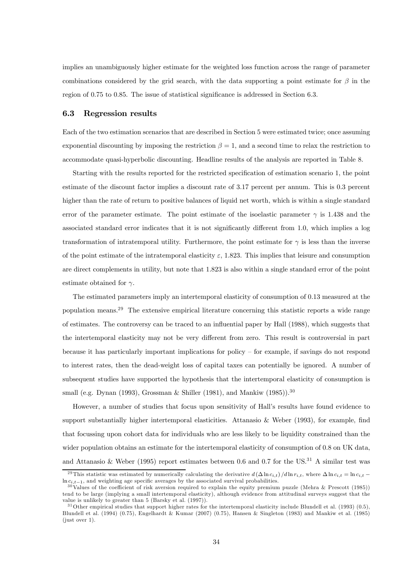implies an unambiguously higher estimate for the weighted loss function across the range of parameter combinations considered by the grid search, with the data supporting a point estimate for  $\beta$  in the region of 0.75 to 0.85. The issue of statistical significance is addressed in Section 6.3.

#### 6.3 Regression results

Each of the two estimation scenarios that are described in Section 5 were estimated twice; once assuming exponential discounting by imposing the restriction  $\beta = 1$ , and a second time to relax the restriction to accommodate quasi-hyperbolic discounting. Headline results of the analysis are reported in Table 8.

Starting with the results reported for the restricted specification of estimation scenario 1, the point estimate of the discount factor implies a discount rate of 3.17 percent per annum. This is 0.3 percent higher than the rate of return to positive balances of liquid net worth, which is within a single standard error of the parameter estimate. The point estimate of the isoelastic parameter  $\gamma$  is 1.438 and the associated standard error indicates that it is not significantly different from 1.0, which implies a log transformation of intratemporal utility. Furthermore, the point estimate for  $\gamma$  is less than the inverse of the point estimate of the intratemporal elasticity  $\varepsilon$ , 1.823. This implies that leisure and consumption are direct complements in utility, but note that 1.823 is also within a single standard error of the point estimate obtained for  $\gamma$ .

The estimated parameters imply an intertemporal elasticity of consumption of 0.13 measured at the population means.29 The extensive empirical literature concerning this statistic reports a wide range of estimates. The controversy can be traced to an influential paper by Hall (1988), which suggests that the intertemporal elasticity may not be very different from zero. This result is controversial in part because it has particularly important implications for policy — for example, if savings do not respond to interest rates, then the dead-weight loss of capital taxes can potentially be ignored. A number of subsequent studies have supported the hypothesis that the intertemporal elasticity of consumption is small (e.g. Dynan (1993), Grossman & Shiller (1981), and Mankiw (1985)).<sup>30</sup>

However, a number of studies that focus upon sensitivity of Hall's results have found evidence to support substantially higher intertemporal elasticities. Attanasio & Weber (1993), for example, find that focussing upon cohort data for individuals who are less likely to be liquidity constrained than the wider population obtains an estimate for the intertemporal elasticity of consumption of 0.8 on UK data, and Attanasio & Weber (1995) report estimates between 0.6 and 0.7 for the US.<sup>31</sup> A similar test was

<sup>&</sup>lt;sup>29</sup>This statistic was estimated by numerically calculating the derivative  $d(\Delta \ln c_{i,t}) / d \ln r_{i,t}$ , where  $\Delta \ln c_{i,t} = \ln c_{i,t} - \ln c_{i,t-1}$ , and weighting age specific averages by the associated survival probabilities.

<sup>&</sup>lt;sup>30</sup>Values of the coefficient of risk aversion required to explain the equity premium puzzle (Mehra & Prescott (1985)) tend to be large (implying a small intertemporal elasticity), although evidence from attitudinal surveys suggest that the value is unlikely to greater than 5 (Barsky et al. (1997)).

 $31$ Other empirical studies that support higher rates for the intertemporal elasticity include Blundell et al. (1993) (0.5), Blundell et al. (1994) (0.75), Engelhardt & Kumar (2007) (0.75), Hansen & Singleton (1983) and Mankiw et al. (1985)  $(i$ ust over 1).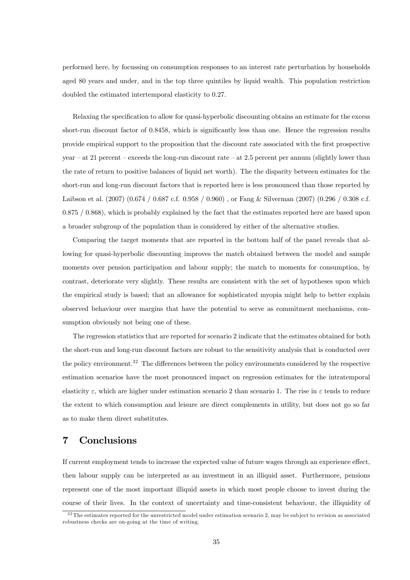performed here, by focussing on consumption responses to an interest rate perturbation by households aged 80 years and under, and in the top three quintiles by liquid wealth. This population restriction doubled the estimated intertemporal elasticity to 0.27.

Relaxing the specification to allow for quasi-hyperbolic discounting obtains an estimate for the excess short-run discount factor of 0.8458, which is significantly less than one. Hence the regression results provide empirical support to the proposition that the discount rate associated with the first prospective year — at 21 percent — exceeds the long-run discount rate — at 2.5 percent per annum (slightly lower than the rate of return to positive balances of liquid net worth). The the disparity between estimates for the short-run and long-run discount factors that is reported here is less pronounced than those reported by Laibson et al. (2007) (0.674 / 0.687 c.f. 0.958 / 0.960) , or Fang & Silverman (2007) (0.296 / 0.308 c.f. 0.875 / 0.868), which is probably explained by the fact that the estimates reported here are based upon a broader subgroup of the population than is considered by either of the alternative studies.

Comparing the target moments that are reported in the bottom half of the panel reveals that allowing for quasi-hyperbolic discounting improves the match obtained between the model and sample moments over pension participation and labour supply; the match to moments for consumption, by contrast, deteriorate very slightly. These results are consistent with the set of hypotheses upon which the empirical study is based; that an allowance for sophisticated myopia might help to better explain observed behaviour over margins that have the potential to serve as commitment mechanisms, consumption obviously not being one of these.

The regression statistics that are reported for scenario 2 indicate that the estimates obtained for both the short-run and long-run discount factors are robust to the sensitivity analysis that is conducted over the policy environment.<sup>32</sup> The differences between the policy environments considered by the respective estimation scenarios have the most pronounced impact on regression estimates for the intratemporal elasticity  $\varepsilon$ , which are higher under estimation scenario 2 than scenario 1. The rise in  $\varepsilon$  tends to reduce the extent to which consumption and leisure are direct complements in utility, but does not go so far as to make them direct substitutes.

## 7 Conclusions

If current employment tends to increase the expected value of future wages through an experience effect, then labour supply can be interpreted as an investment in an illiquid asset. Furthermore, pensions represent one of the most important illiquid assets in which most people choose to invest during the course of their lives. In the context of uncertainty and time-consistent behaviour, the illiquidity of

 $32$ The estimates reported for the unrestricted model under estimation scenario 2, may be subject to revision as associated robustness checks are on-going at the time of writing.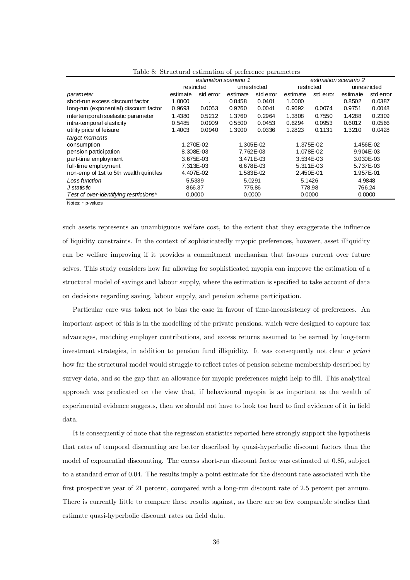|                                        | estimation scenario 1 |           |           |              | estimation scenario 2 |            |           |              |  |
|----------------------------------------|-----------------------|-----------|-----------|--------------|-----------------------|------------|-----------|--------------|--|
|                                        | restricted            |           |           | unrestricted |                       | restricted |           | unrestricted |  |
| parameter                              | estimate              | std error | estimate  | std error    | estimate              | std error  | estimate  | std error    |  |
| short-run excess discount factor       | 1.0000                |           | 0.8458    | 0.0401       | 1.0000                |            | 0.8502    | 0.0387       |  |
| long-run (exponential) discount factor | 0.9693                | 0.0053    | 0.9760    | 0.0041       | 0.9692                | 0.0074     | 0.9751    | 0.0048       |  |
| intertemporal isoelastic parameter     | 1.4380                | 0.5212    | 1.3760    | 0.2964       | 1.3808                | 0.7550     | 1.4288    | 0.2309       |  |
| intra-temporal elasticity              | 0.5485                | 0.0909    | 0.5500    | 0.0453       | 0.6294                | 0.0953     | 0.6012    | 0.0566       |  |
| utility price of leisure               | 1.4003                | 0.0940    | 1.3900    | 0.0336       | 1.2823                | 0.1131     | 1.3210    | 0.0428       |  |
| target moments                         |                       |           |           |              |                       |            |           |              |  |
| consumption                            |                       | 1.270E-02 | 1.305E-02 |              | 1.375E-02             |            |           | 1.456E-02    |  |
| pension participation                  | 8.308E-03             |           |           | 7.762E-03    | 1.078E-02             |            | 9.904E-03 |              |  |
| part-time employment                   | 3.675E-03             |           |           | 3.471E-03    | 3.534E-03             |            |           | 3.030E-03    |  |
| full-time employment                   | 7.313E-03             |           |           | 6.678E-03    | 5.311E-03             |            |           | 5.737E-03    |  |
| non-emp of 1st to 5th wealth quintiles | 4.407E-02             |           |           | 1.583E-02    | 2.450E-01             |            |           | 1.957E-01    |  |
| Loss function                          | 5.5339                |           | 5.0291    |              |                       | 5.1426     |           | 4.9848       |  |
| J statistic                            | 866.37                |           |           | 775.86       |                       | 778.98     |           | 766.24       |  |
| Test of over-identifying restrictions* | 0.0000                |           |           | 0.0000       | 0.0000                |            | 0.0000    |              |  |

Table 8: Structural estimation of preference parameters

Notes: \* p-values

such assets represents an unambiguous welfare cost, to the extent that they exaggerate the influence of liquidity constraints. In the context of sophisticatedly myopic preferences, however, asset illiquidity can be welfare improving if it provides a commitment mechanism that favours current over future selves. This study considers how far allowing for sophisticated myopia can improve the estimation of a structural model of savings and labour supply, where the estimation is specified to take account of data on decisions regarding saving, labour supply, and pension scheme participation.

Particular care was taken not to bias the case in favour of time-inconsistency of preferences. An important aspect of this is in the modelling of the private pensions, which were designed to capture tax advantages, matching employer contributions, and excess returns assumed to be earned by long-term investment strategies, in addition to pension fund illiquidity. It was consequently not clear a priori how far the structural model would struggle to reflect rates of pension scheme membership described by survey data, and so the gap that an allowance for myopic preferences might help to fill. This analytical approach was predicated on the view that, if behavioural myopia is as important as the wealth of experimental evidence suggests, then we should not have to look too hard to find evidence of it in field data.

It is consequently of note that the regression statistics reported here strongly support the hypothesis that rates of temporal discounting are better described by quasi-hyperbolic discount factors than the model of exponential discounting. The excess short-run discount factor was estimated at 0.85, subject to a standard error of 0.04. The results imply a point estimate for the discount rate associated with the first prospective year of 21 percent, compared with a long-run discount rate of 2.5 percent per annum. There is currently little to compare these results against, as there are so few comparable studies that estimate quasi-hyperbolic discount rates on field data.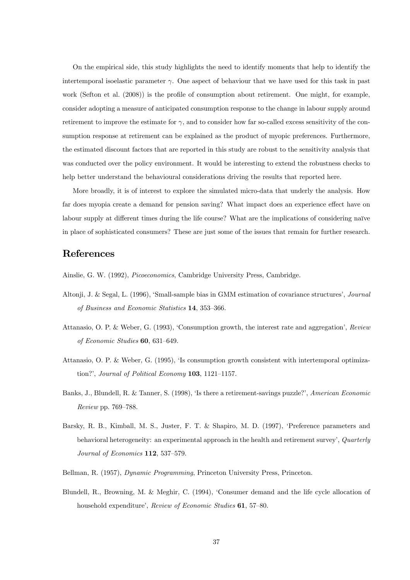On the empirical side, this study highlights the need to identify moments that help to identify the intertemporal isoelastic parameter  $\gamma$ . One aspect of behaviour that we have used for this task in past work (Sefton et al. (2008)) is the profile of consumption about retirement. One might, for example, consider adopting a measure of anticipated consumption response to the change in labour supply around retirement to improve the estimate for  $\gamma$ , and to consider how far so-called excess sensitivity of the consumption response at retirement can be explained as the product of myopic preferences. Furthermore, the estimated discount factors that are reported in this study are robust to the sensitivity analysis that was conducted over the policy environment. It would be interesting to extend the robustness checks to help better understand the behavioural considerations driving the results that reported here.

More broadly, it is of interest to explore the simulated micro-data that underly the analysis. How far does myopia create a demand for pension saving? What impact does an experience effect have on labour supply at different times during the life course? What are the implications of considering naïve in place of sophisticated consumers? These are just some of the issues that remain for further research.

## References

Ainslie, G. W. (1992), Picoeconomics, Cambridge University Press, Cambridge.

- Altonji, J. & Segal, L. (1996), 'Small-sample bias in GMM estimation of covariance structures', Journal of Business and Economic Statistics 14, 353—366.
- Attanasio, O. P. & Weber, G. (1993), 'Consumption growth, the interest rate and aggregation', Review of Economic Studies 60, 631—649.
- Attanasio, O. P. & Weber, G. (1995), 'Is consumption growth consistent with intertemporal optimization?', Journal of Political Economy 103, 1121—1157.
- Banks, J., Blundell, R. & Tanner, S. (1998), 'Is there a retirement-savings puzzle?', American Economic Review pp. 769—788.
- Barsky, R. B., Kimball, M. S., Juster, F. T. & Shapiro, M. D. (1997), 'Preference parameters and behavioral heterogeneity: an experimental approach in the health and retirement survey', Quarterly Journal of Economics 112, 537—579.
- Bellman, R. (1957), Dynamic Programming, Princeton University Press, Princeton.
- Blundell, R., Browning, M. & Meghir, C. (1994), 'Consumer demand and the life cycle allocation of household expenditure', Review of Economic Studies **61**, 57-80.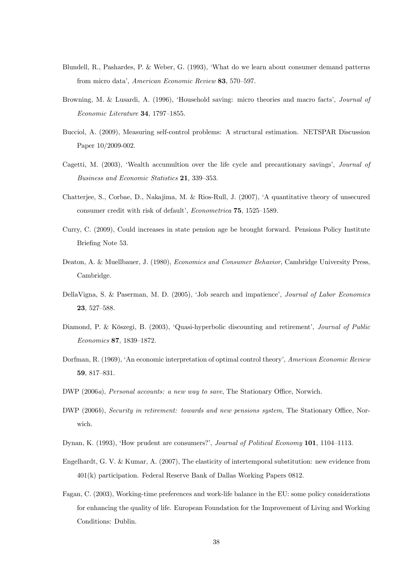- Blundell, R., Pashardes, P. & Weber, G. (1993), 'What do we learn about consumer demand patterns from micro data', American Economic Review 83, 570—597.
- Browning, M. & Lusardi, A. (1996), 'Household saving: micro theories and macro facts', Journal of Economic Literature 34, 1797—1855.
- Bucciol, A. (2009), Measuring self-control problems: A structural estimation. NETSPAR Discussion Paper 10/2009-002.
- Cagetti, M. (2003), 'Wealth accumultion over the life cycle and precautionary savings', Journal of Business and Economic Statistics 21, 339—353.
- Chatterjee, S., Corbae, D., Nakajima, M. & Rios-Rull, J. (2007), 'A quantitative theory of unsecured consumer credit with risk of default', Econometrica 75, 1525—1589.
- Curry, C. (2009), Could increases in state pension age be brought forward. Pensions Policy Institute Briefing Note 53.
- Deaton, A. & Muellbauer, J. (1980), Economics and Consumer Behavior, Cambridge University Press, Cambridge.
- DellaVigna, S. & Paserman, M. D. (2005), 'Job search and impatience', Journal of Labor Economics 23, 527—588.
- Diamond, P. & Köszegi, B. (2003), 'Quasi-hyperbolic discounting and retirement', Journal of Public Economics 87, 1839—1872.
- Dorfman, R. (1969), 'An economic interpretation of optimal control theory', American Economic Review 59, 817—831.
- DWP (2006a), Personal accounts: a new way to save, The Stationary Office, Norwich.
- DWP (2006b), Security in retirement: towards and new pensions system, The Stationary Office, Norwich.
- Dynan, K. (1993), 'How prudent are consumers?', Journal of Political Economy 101, 1104–1113.
- Engelhardt, G. V. & Kumar, A. (2007), The elasticity of intertemporal substitution: new evidence from 401(k) participation. Federal Reserve Bank of Dallas Working Papers 0812.
- Fagan, C. (2003), Working-time preferences and work-life balance in the EU: some policy considerations for enhancing the quality of life. European Foundation for the Improvement of Living and Working Conditions: Dublin.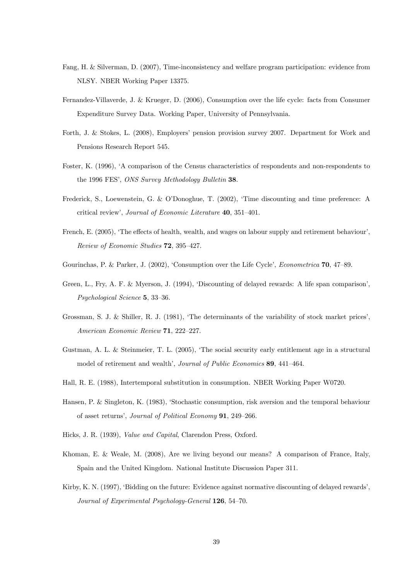- Fang, H. & Silverman, D. (2007), Time-inconsistency and welfare program participation: evidence from NLSY. NBER Working Paper 13375.
- Fernandez-Villaverde, J. & Krueger, D. (2006), Consumption over the life cycle: facts from Consumer Expenditure Survey Data. Working Paper, University of Pennsylvania.
- Forth, J. & Stokes, L. (2008), Employers' pension provision survey 2007. Department for Work and Pensions Research Report 545.
- Foster, K. (1996), 'A comparison of the Census characteristics of respondents and non-respondents to the 1996 FES', ONS Survey Methodology Bulletin 38.
- Frederick, S., Loewenstein, G. & O'Donoghue, T. (2002), 'Time discounting and time preference: A critical review', Journal of Economic Literature 40, 351—401.
- French, E. (2005), 'The effects of health, wealth, and wages on labour supply and retirement behaviour', Review of Economic Studies 72, 395—427.
- Gourinchas, P. & Parker, J. (2002), 'Consumption over the Life Cycle', Econometrica 70, 47—89.
- Green, L., Fry, A. F. & Myerson, J. (1994), 'Discounting of delayed rewards: A life span comparison', Psychological Science 5, 33—36.
- Grossman, S. J. & Shiller, R. J. (1981), 'The determinants of the variability of stock market prices', American Economic Review 71, 222—227.
- Gustman, A. L. & Steinmeier, T. L. (2005), 'The social security early entitlement age in a structural model of retirement and wealth', Journal of Public Economics 89, 441—464.
- Hall, R. E. (1988), Intertemporal substitution in consumption. NBER Working Paper W0720.
- Hansen, P. & Singleton, K. (1983), 'Stochastic consumption, risk aversion and the temporal behaviour of asset returns', Journal of Political Economy 91, 249—266.
- Hicks, J. R. (1939), Value and Capital, Clarendon Press, Oxford.
- Khoman, E. & Weale, M. (2008), Are we living beyond our means? A comparison of France, Italy, Spain and the United Kingdom. National Institute Discussion Paper 311.
- Kirby, K. N. (1997), 'Bidding on the future: Evidence against normative discounting of delayed rewards', Journal of Experimental Psychology-General 126, 54—70.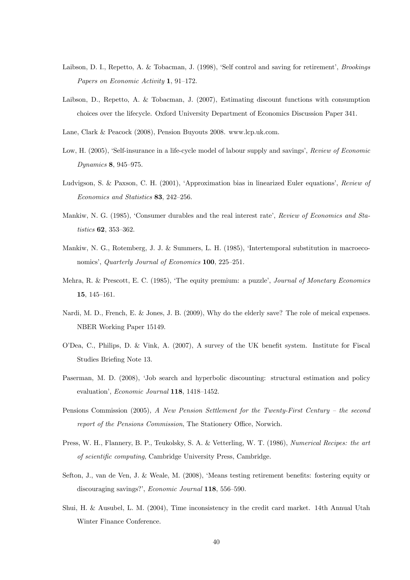- Laibson, D. I., Repetto, A. & Tobacman, J. (1998), 'Self control and saving for retirement', Brookings Papers on Economic Activity 1, 91—172.
- Laibson, D., Repetto, A. & Tobacman, J. (2007), Estimating discount functions with consumption choices over the lifecycle. Oxford University Department of Economics Discussion Paper 341.
- Lane, Clark & Peacock (2008), Pension Buyouts 2008. www.lcp.uk.com.
- Low, H. (2005), 'Self-insurance in a life-cycle model of labour supply and savings', Review of Economic Dynamics 8, 945—975.
- Ludvigson, S. & Paxson, C. H. (2001), 'Approximation bias in linearized Euler equations', Review of Economics and Statistics 83, 242—256.
- Mankiw, N. G. (1985), 'Consumer durables and the real interest rate', Review of Economics and Statistics 62, 353—362.
- Mankiw, N. G., Rotemberg, J. J. & Summers, L. H. (1985), 'Intertemporal substitution in macroeconomics', Quarterly Journal of Economics 100, 225—251.
- Mehra, R. & Prescott, E. C. (1985), 'The equity premium: a puzzle', Journal of Monetary Economics 15, 145—161.
- Nardi, M. D., French, E. & Jones, J. B. (2009), Why do the elderly save? The role of meical expenses. NBER Working Paper 15149.
- O'Dea, C., Philips, D. & Vink, A. (2007), A survey of the UK benefit system. Institute for Fiscal Studies Briefing Note 13.
- Paserman, M. D. (2008), 'Job search and hyperbolic discounting: structural estimation and policy evaluation', Economic Journal 118, 1418—1452.
- Pensions Commission (2005), A New Pension Settlement for the Twenty-First Century the second report of the Pensions Commission, The Stationery Office, Norwich.
- Press, W. H., Flannery, B. P., Teukolsky, S. A. & Vetterling, W. T. (1986), Numerical Recipes: the art of scientific computing, Cambridge University Press, Cambridge.
- Sefton, J., van de Ven, J. & Weale, M. (2008), 'Means testing retirement benefits: fostering equity or discouraging savings?', Economic Journal 118, 556—590.
- Shui, H. & Ausubel, L. M. (2004), Time inconsistency in the credit card market. 14th Annual Utah Winter Finance Conference.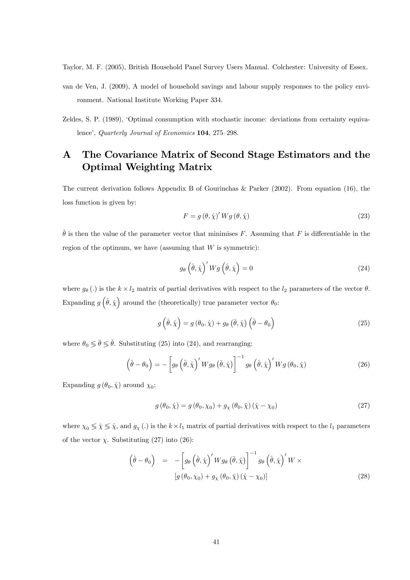Taylor, M. F. (2005), British Household Panel Survey Users Manual. Colchester: University of Essex.

- van de Ven, J. (2009), A model of household savings and labour supply responses to the policy environment. National Institute Working Paper 334.
- Zeldes, S. P. (1989), 'Optimal consumption with stochastic income: deviations from certainty equivalence', Quarterly Journal of Economics 104, 275—298.

# A The Covariance Matrix of Second Stage Estimators and the Optimal Weighting Matrix

The current derivation follows Appendix B of Gourinchas & Parker (2002). From equation (16), the loss function is given by:

$$
F = g(\theta, \hat{\chi})' W g(\theta, \hat{\chi})
$$
\n(23)

 $\hat{\theta}$  is then the value of the parameter vector that minimises F. Assuming that F is differentiable in the region of the optimum, we have (assuming that  $W$  is symmetric):

$$
g_{\theta}\left(\hat{\theta},\hat{\chi}\right)'Wg\left(\hat{\theta},\hat{\chi}\right) = 0\tag{24}
$$

where  $g_{\theta}$  (.) is the  $k \times l_2$  matrix of partial derivatives with respect to the  $l_2$  parameters of the vector  $\theta$ . Expanding  $g\left(\hat{\theta},\hat{\chi}\right)$  around the (theoretically) true parameter vector  $\theta_0$ :

$$
g\left(\hat{\theta},\hat{\chi}\right) = g\left(\theta_0,\hat{\chi}\right) + g_\theta\left(\bar{\theta},\hat{\chi}\right)\left(\hat{\theta} - \theta_0\right) \tag{25}
$$

where  $\theta_0 \leq \bar{\theta} \leq \hat{\theta}$ . Substituting (25) into (24), and rearranging:

$$
\left(\hat{\theta} - \theta_0\right) = -\left[g_\theta\left(\hat{\theta}, \hat{\chi}\right)' W g_\theta\left(\bar{\theta}, \hat{\chi}\right)\right]^{-1} g_\theta\left(\hat{\theta}, \hat{\chi}\right)' W g\left(\theta_0, \hat{\chi}\right) \tag{26}
$$

Expanding  $g(\theta_0, \hat{\chi})$  around  $\chi_0$ :

$$
g(\theta_0, \hat{\chi}) = g(\theta_0, \chi_0) + g_\chi(\theta_0, \bar{\chi}) (\hat{\chi} - \chi_0)
$$
\n(27)

where  $\chi_0 \leq \bar{\chi} \leq \hat{\chi}$ , and  $g_{\chi}$  (.) is the  $k \times l_1$  matrix of partial derivatives with respect to the  $l_1$  parameters of the vector  $\chi$ . Substituting (27) into (26):

$$
\left(\hat{\theta} - \theta_0\right) = -\left[g_\theta\left(\hat{\theta}, \hat{\chi}\right)'Wg_\theta\left(\bar{\theta}, \hat{\chi}\right)\right]^{-1}g_\theta\left(\hat{\theta}, \hat{\chi}\right)'W \times \left[g\left(\theta_0, \chi_0\right) + g_\chi\left(\theta_0, \bar{\chi}\right)\left(\hat{\chi} - \chi_0\right)\right]
$$
\n(28)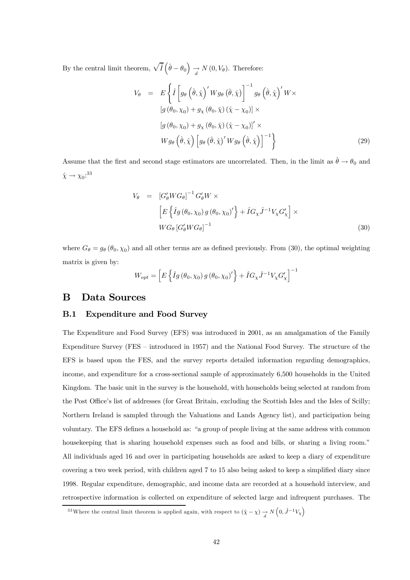By the central limit theorem,  $\sqrt{\tilde{I}}\left(\hat{\theta} - \theta_0\right)$  $\overrightarrow{d} N(0, V_{\theta})$ . Therefore:

$$
V_{\theta} = E\left\{\hat{I}\left[g_{\theta}\left(\hat{\theta},\hat{\chi}\right)'Wg_{\theta}\left(\bar{\theta},\hat{\chi}\right)\right]^{-1}g_{\theta}\left(\hat{\theta},\hat{\chi}\right)'W\times \left[g\left(\theta_{0},\chi_{0}\right)+g_{\chi}\left(\theta_{0},\bar{\chi}\right)\left(\hat{\chi}-\chi_{0}\right)\right]\times \left[g\left(\theta_{0},\chi_{0}\right)+g_{\chi}\left(\theta_{0},\bar{\chi}\right)\left(\hat{\chi}-\chi_{0}\right)\right]'\times Wg_{\theta}\left(\hat{\theta},\hat{\chi}\right)\left[g_{\theta}\left(\bar{\theta},\hat{\chi}\right)'Wg_{\theta}\left(\hat{\theta},\hat{\chi}\right)\right]^{-1}\right\}
$$
\n(29)

Assume that the first and second stage estimators are uncorrelated. Then, in the limit as  $\hat{\theta} \to \theta_0$  and  $\hat{\chi} \rightarrow \chi_0$ :<sup>33</sup>

$$
V_{\theta} = \left[ G_{\theta}' W G_{\theta} \right]^{-1} G_{\theta}' W \times
$$
  
\n
$$
\left[ E \left\{ \hat{I} g \left( \theta_0, \chi_0 \right) g \left( \theta_0, \chi_0 \right)' \right\} + \hat{I} G_{\chi} \hat{J}^{-1} V_{\chi} G_{\chi}' \right] \times
$$
  
\n
$$
W G_{\theta} \left[ G_{\theta}' W G_{\theta} \right]^{-1}
$$
\n(30)

where  $G_{\theta} = g_{\theta}(\theta_0, \chi_0)$  and all other terms are as defined previously. From (30), the optimal weighting matrix is given by:

$$
W_{opt} = \left[ E \left\{ \hat{I}g \left( \theta_0, \chi_0 \right) g \left( \theta_0, \chi_0 \right)' \right\} + \hat{I} G_{\chi} \hat{J}^{-1} V_{\chi} G'_{\chi} \right]^{-1}
$$

### B Data Sources

#### B.1 Expenditure and Food Survey

The Expenditure and Food Survey (EFS) was introduced in 2001, as an amalgamation of the Family Expenditure Survey (FES — introduced in 1957) and the National Food Survey. The structure of the EFS is based upon the FES, and the survey reports detailed information regarding demographics, income, and expenditure for a cross-sectional sample of approximately 6,500 households in the United Kingdom. The basic unit in the survey is the household, with households being selected at random from the Post Office's list of addresses (for Great Britain, excluding the Scottish Isles and the Isles of Scilly; Northern Ireland is sampled through the Valuations and Lands Agency list), and participation being voluntary. The EFS defines a household as: "a group of people living at the same address with common housekeeping that is sharing household expenses such as food and bills, or sharing a living room." All individuals aged 16 and over in participating households are asked to keep a diary of expenditure covering a two week period, with children aged 7 to 15 also being asked to keep a simplified diary since 1998. Regular expenditure, demographic, and income data are recorded at a household interview, and retrospective information is collected on expenditure of selected large and infrequent purchases. The

<sup>&</sup>lt;sup>33</sup>Where the central limit theorem is applied again, with respect to  $(\hat{\chi} - \chi) \rightarrow N(0, \hat{J}^{-1}V_{\chi})$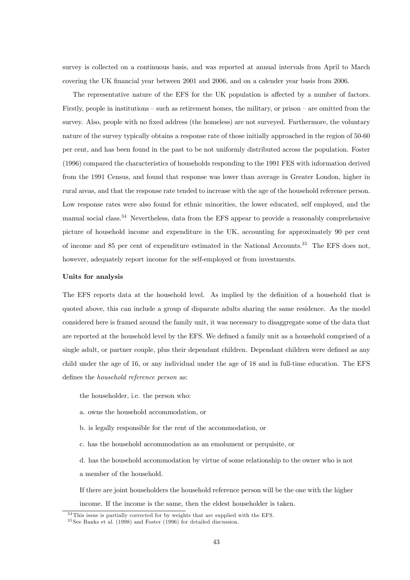survey is collected on a continuous basis, and was reported at annual intervals from April to March covering the UK financial year between 2001 and 2006, and on a calender year basis from 2006.

The representative nature of the EFS for the UK population is affected by a number of factors. Firstly, people in institutions — such as retirement homes, the military, or prison — are omitted from the survey. Also, people with no fixed address (the homeless) are not surveyed. Furthermore, the voluntary nature of the survey typically obtains a response rate of those initially approached in the region of 50-60 per cent, and has been found in the past to be not uniformly distributed across the population. Foster (1996) compared the characteristics of households responding to the 1991 FES with information derived from the 1991 Census, and found that response was lower than average in Greater London, higher in rural areas, and that the response rate tended to increase with the age of the household reference person. Low response rates were also found for ethnic minorities, the lower educated, self employed, and the manual social class.<sup>34</sup> Nevertheless, data from the EFS appear to provide a reasonably comprehensive picture of household income and expenditure in the UK, accounting for approximately 90 per cent of income and 85 per cent of expenditure estimated in the National Accounts.35 The EFS does not, however, adequately report income for the self-employed or from investments.

#### Units for analysis

The EFS reports data at the household level. As implied by the definition of a household that is quoted above, this can include a group of disparate adults sharing the same residence. As the model considered here is framed around the family unit, it was necessary to disaggregate some of the data that are reported at the household level by the EFS. We defined a family unit as a household comprised of a single adult, or partner couple, plus their dependant children. Dependant children were defined as any child under the age of 16, or any individual under the age of 18 and in full-time education. The EFS defines the household reference person as:

- the householder, i.e. the person who:
- a. owns the household accommodation, or
- b. is legally responsible for the rent of the accommodation, or
- c. has the household accommodation as an emolument or perquisite, or

d. has the household accommodation by virtue of some relationship to the owner who is not a member of the household.

If there are joint householders the household reference person will be the one with the higher

income. If the income is the same, then the eldest householder is taken.

<sup>3 4</sup>This issue is partially corrected for by weights that are supplied with the EFS.

 $35$  See Banks et al. (1998) and Foster (1996) for detailed discussion.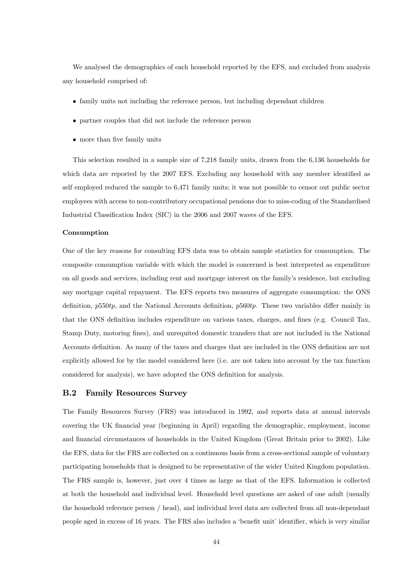We analysed the demographics of each household reported by the EFS, and excluded from analysis any household comprised of:

- family units not including the reference person, but including dependant children
- partner couples that did not include the reference person
- more than five family units

This selection resulted in a sample size of 7,218 family units, drawn from the 6,136 households for which data are reported by the 2007 EFS. Excluding any household with any member identified as self employed reduced the sample to 6,471 family units; it was not possible to censor out public sector employees with access to non-contributory occupational pensions due to miss-coding of the Standardised Industrial Classification Index (SIC) in the 2006 and 2007 waves of the EFS.

#### Consumption

One of the key reasons for consulting EFS data was to obtain sample statistics for consumption. The composite consumption variable with which the model is concerned is best interpreted as expenditure on all goods and services, including rent and mortgage interest on the family's residence, but excluding any mortgage capital repayment. The EFS reports two measures of aggregate consumption: the ONS definition,  $p550tp$ , and the National Accounts definition,  $p560tp$ . These two variables differ mainly in that the ONS definition includes expenditure on various taxes, charges, and fines (e.g. Council Tax, Stamp Duty, motoring fines), and unrequited domestic transfers that are not included in the National Accounts definition. As many of the taxes and charges that are included in the ONS definition are not explicitly allowed for by the model considered here (i.e. are not taken into account by the tax function considered for analysis), we have adopted the ONS definition for analysis.

#### B.2 Family Resources Survey

The Family Resources Survey (FRS) was introduced in 1992, and reports data at annual intervals covering the UK financial year (beginning in April) regarding the demographic, employment, income and financial circumstances of households in the United Kingdom (Great Britain prior to 2002). Like the EFS, data for the FRS are collected on a continuous basis from a cross-sectional sample of voluntary participating households that is designed to be representative of the wider United Kingdom population. The FRS sample is, however, just over 4 times as large as that of the EFS. Information is collected at both the household and individual level. Household level questions are asked of one adult (usually the household reference person / head), and individual level data are collected from all non-dependant people aged in excess of 16 years. The FRS also includes a 'benefit unit' identifier, which is very similar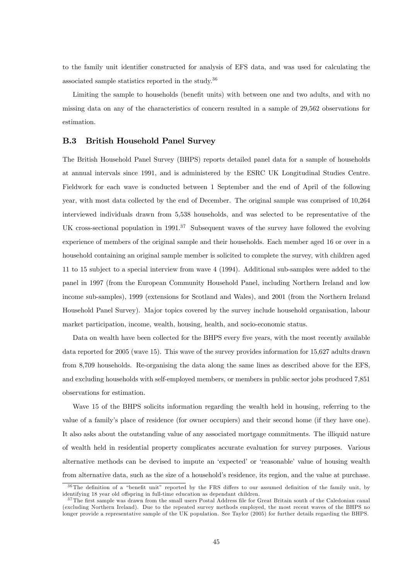to the family unit identifier constructed for analysis of EFS data, and was used for calculating the associated sample statistics reported in the study.36

Limiting the sample to households (benefit units) with between one and two adults, and with no missing data on any of the characteristics of concern resulted in a sample of 29,562 observations for estimation.

#### B.3 British Household Panel Survey

The British Household Panel Survey (BHPS) reports detailed panel data for a sample of households at annual intervals since 1991, and is administered by the ESRC UK Longitudinal Studies Centre. Fieldwork for each wave is conducted between 1 September and the end of April of the following year, with most data collected by the end of December. The original sample was comprised of 10,264 interviewed individuals drawn from 5,538 households, and was selected to be representative of the UK cross-sectional population in  $1991<sup>37</sup>$  Subsequent waves of the survey have followed the evolving experience of members of the original sample and their households. Each member aged 16 or over in a household containing an original sample member is solicited to complete the survey, with children aged 11 to 15 subject to a special interview from wave 4 (1994). Additional sub-samples were added to the panel in 1997 (from the European Community Household Panel, including Northern Ireland and low income sub-samples), 1999 (extensions for Scotland and Wales), and 2001 (from the Northern Ireland Household Panel Survey). Major topics covered by the survey include household organisation, labour market participation, income, wealth, housing, health, and socio-economic status.

Data on wealth have been collected for the BHPS every five years, with the most recently available data reported for 2005 (wave 15). This wave of the survey provides information for 15,627 adults drawn from 8,709 households. Re-organising the data along the same lines as described above for the EFS, and excluding households with self-employed members, or members in public sector jobs produced 7,851 observations for estimation.

Wave 15 of the BHPS solicits information regarding the wealth held in housing, referring to the value of a family's place of residence (for owner occupiers) and their second home (if they have one). It also asks about the outstanding value of any associated mortgage commitments. The illiquid nature of wealth held in residential property complicates accurate evaluation for survey purposes. Various alternative methods can be devised to impute an 'expected' or 'reasonable' value of housing wealth from alternative data, such as the size of a household's residence, its region, and the value at purchase.

<sup>3 6</sup>The definition of a "benefit unit" reported by the FRS differs to our assumed definition of the family unit, by identifying 18 year old offspring in full-time education as dependant children.

<sup>&</sup>lt;sup>37</sup>The first sample was drawn from the small users Postal Address file for Great Britain south of the Caledonian canal (excluding Northern Ireland). Due to the repeated survey methods employed, the most recent waves of the BHPS no longer provide a representative sample of the UK population. See Taylor (2005) for further details regarding the BHPS.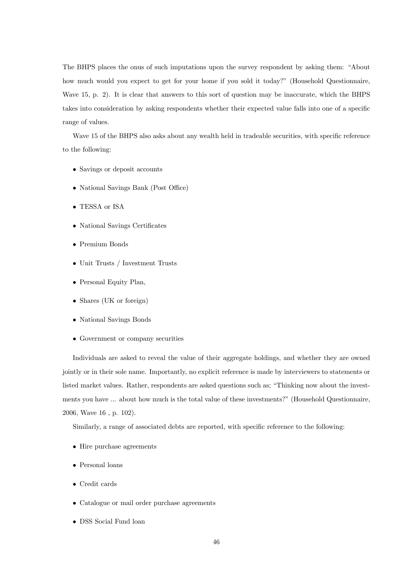The BHPS places the onus of such imputations upon the survey respondent by asking them: "About how much would you expect to get for your home if you sold it today?" (Household Questionnaire, Wave 15, p. 2). It is clear that answers to this sort of question may be inaccurate, which the BHPS takes into consideration by asking respondents whether their expected value falls into one of a specific range of values.

Wave 15 of the BHPS also asks about any wealth held in tradeable securities, with specific reference to the following:

- Savings or deposit accounts
- National Savings Bank (Post Office)
- TESSA or ISA
- National Savings Certificates
- Premium Bonds
- Unit Trusts / Investment Trusts
- Personal Equity Plan,
- Shares (UK or foreign)
- National Savings Bonds
- Government or company securities

Individuals are asked to reveal the value of their aggregate holdings, and whether they are owned jointly or in their sole name. Importantly, no explicit reference is made by interviewers to statements or listed market values. Rather, respondents are asked questions such as; "Thinking now about the investments you have ... about how much is the total value of these investments?" (Household Questionnaire, 2006, Wave 16 , p. 102).

Similarly, a range of associated debts are reported, with specific reference to the following:

- Hire purchase agreements
- Personal loans
- Credit cards
- Catalogue or mail order purchase agreements
- DSS Social Fund loan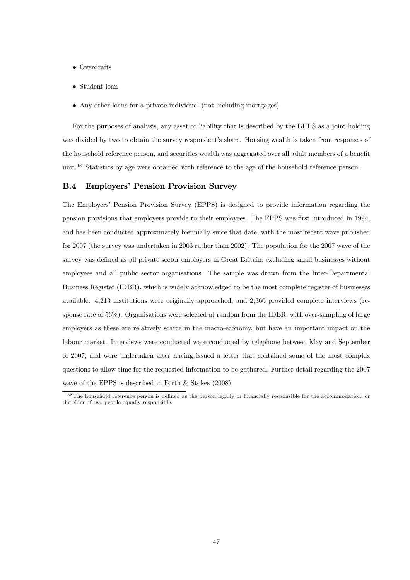- Overdrafts
- Student loan
- Any other loans for a private individual (not including mortgages)

For the purposes of analysis, any asset or liability that is described by the BHPS as a joint holding was divided by two to obtain the survey respondent's share. Housing wealth is taken from responses of the household reference person, and securities wealth was aggregated over all adult members of a benefit unit.<sup>38</sup> Statistics by age were obtained with reference to the age of the household reference person.

#### B.4 Employers' Pension Provision Survey

The Employers' Pension Provision Survey (EPPS) is designed to provide information regarding the pension provisions that employers provide to their employees. The EPPS was first introduced in 1994, and has been conducted approximately biennially since that date, with the most recent wave published for 2007 (the survey was undertaken in 2003 rather than 2002). The population for the 2007 wave of the survey was defined as all private sector employers in Great Britain, excluding small businesses without employees and all public sector organisations. The sample was drawn from the Inter-Departmental Business Register (IDBR), which is widely acknowledged to be the most complete register of businesses available. 4,213 institutions were originally approached, and 2,360 provided complete interviews (response rate of 56%). Organisations were selected at random from the IDBR, with over-sampling of large employers as these are relatively scarce in the macro-economy, but have an important impact on the labour market. Interviews were conducted were conducted by telephone between May and September of 2007, and were undertaken after having issued a letter that contained some of the most complex questions to allow time for the requested information to be gathered. Further detail regarding the 2007 wave of the EPPS is described in Forth & Stokes (2008)

<sup>&</sup>lt;sup>38</sup>The household reference person is defined as the person legally or financially responsible for the accommodation, or the elder of two people equally responsible.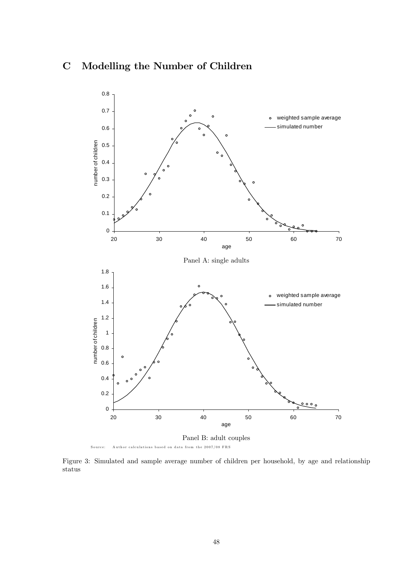# C Modelling the Number of Children



Figure 3: Simulated and sample average number of children per household, by age and relationship status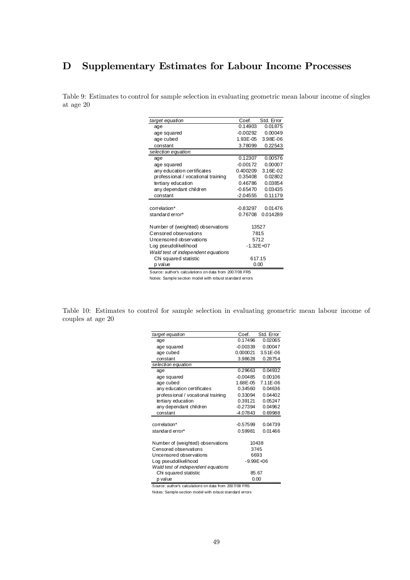# D Supplementary Estimates for Labour Income Processes

Table 9: Estimates to control for sample selection in evaluating geometric mean labour income of singles at age 20

| target equation                    | Coef.         | Std. Error |  |  |
|------------------------------------|---------------|------------|--|--|
| age                                | 0.14903       | 0.01875    |  |  |
| age squared                        | $-0.00292$    | 0.00049    |  |  |
| age cubed                          | 1.93E-05      | 3.98E-06   |  |  |
| constant                           | 3.78099       | 0.22543    |  |  |
| selection equation                 |               |            |  |  |
| age                                | 0.12307       | 0.00576    |  |  |
| age squared                        | $-0.00172$    | 0.00007    |  |  |
| any education certificates         | 0.400209      | 3.16E-02   |  |  |
| professional / vocational training | 0.35408       | 0.02802    |  |  |
| tertiary education                 | 0.46786       | 0.03854    |  |  |
| any dependant children             | -0.65470      | 0.03435    |  |  |
| constant                           | $-2.04555$    | 0.11179    |  |  |
|                                    |               |            |  |  |
| correlation*                       | -0.83297      | 0.01476    |  |  |
| standard error*                    | 0.76708       | 0.014289   |  |  |
| Number of (weighted) observations  |               | 13527      |  |  |
| Censored observations              | 7815          |            |  |  |
| Uncensored observations            | 5712          |            |  |  |
| Log pseudolikelihood               | $-1.32E + 07$ |            |  |  |
| Wald test of independent equations |               |            |  |  |
| Chi squared statistic              | 617.15        |            |  |  |
| p value                            | 0.00          |            |  |  |

Source: author's calculations on data from 2007/08 FRS Notes: Sample section model with robust standard errors

Table 10: Estimates to control for sample selection in evaluating geometric mean labour income of couples at age 20

| target equation                    | Coef.         | Std. Error |  |  |
|------------------------------------|---------------|------------|--|--|
| age                                | 0.17496       | 0.02065    |  |  |
| age squared                        | $-0.00339$    | 0.00047    |  |  |
| age cubed                          | 0.000021      | 3.51E-06   |  |  |
| constant                           | 3.98628       | 0.28754    |  |  |
| selection equation                 |               |            |  |  |
| age                                | 0.29663       | 0.04932    |  |  |
| age squared                        | $-0.00485$    | 0.00106    |  |  |
| age cubed                          | 1.68E-05      | 7.11E-06   |  |  |
| any education certificates         | 0.34560       | 0.04636    |  |  |
| professional / vocational training | 0.33094       | 0.04402    |  |  |
| tertiary education                 | 0.39121       | 0.05247    |  |  |
| any dependant children             | $-0.27394$    | 0.04962    |  |  |
| constant                           | $-4.07843$    | 0.69988    |  |  |
|                                    |               |            |  |  |
| correlation*                       | $-0.57599$    | 0.04739    |  |  |
| standard error*                    | 0.59981       | 0.01466    |  |  |
| Number of (weighted) observations  |               | 10438      |  |  |
| Censored observations              | 3745          |            |  |  |
| Uncensored observations            | 6693          |            |  |  |
| Log pseudolikelihood               | $-9.99E + 06$ |            |  |  |
| Wald test of independent equations |               |            |  |  |
| Chi squared statistic              | 85.67         |            |  |  |
| p value                            | 0.00          |            |  |  |
|                                    |               |            |  |  |

Source: author's calculations on data from 2007/08 FRS

Notes: Sample section model with robust standard errors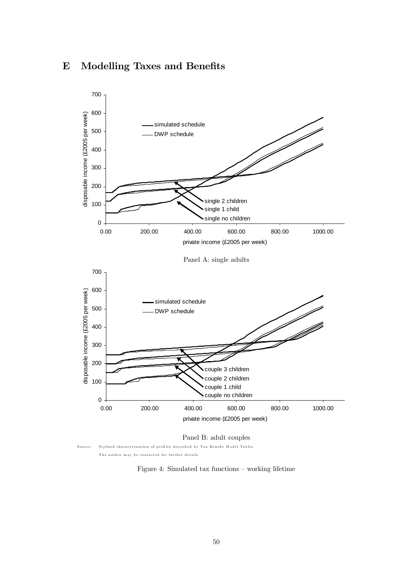## E Modelling Taxes and Benefits



Figure 4: Simulated tax functions — working lifetime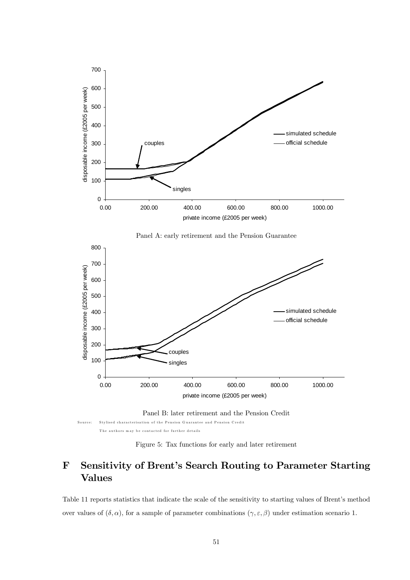

Figure 5: Tax functions for early and later retirement

# F Sensitivity of Brent's Search Routing to Parameter Starting Values

Table 11 reports statistics that indicate the scale of the sensitivity to starting values of Brent's method over values of  $(\delta, \alpha)$ , for a sample of parameter combinations  $(\gamma, \varepsilon, \beta)$  under estimation scenario 1.